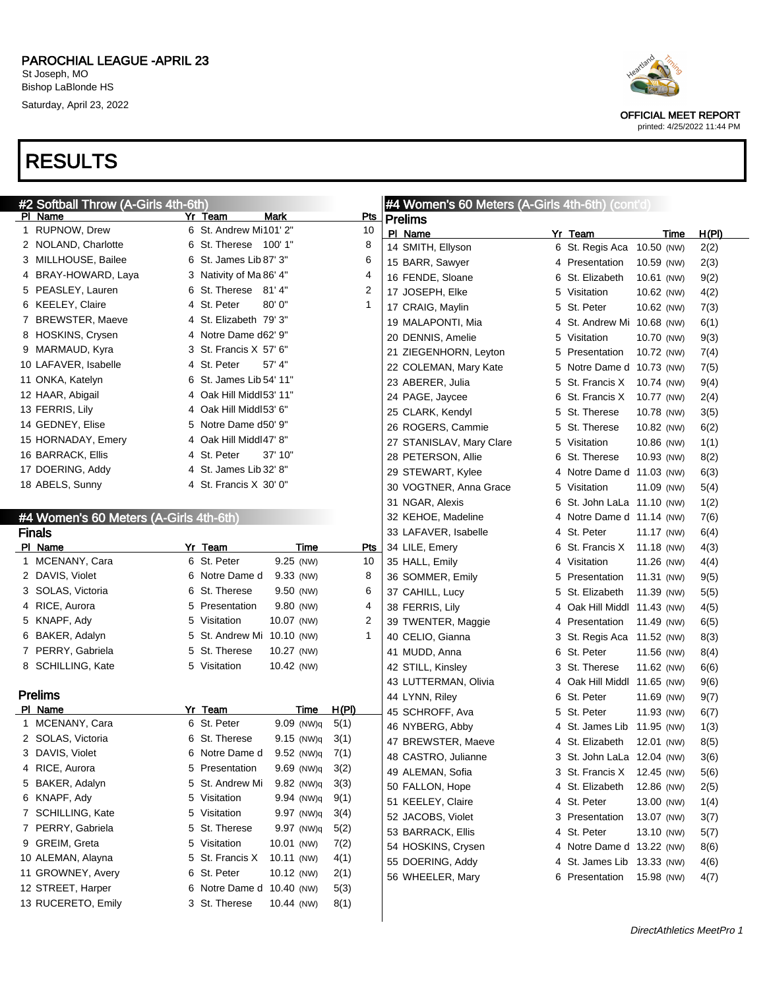



OFFICIAL MEET REPORT printed: 4/25/2022 11:44 PM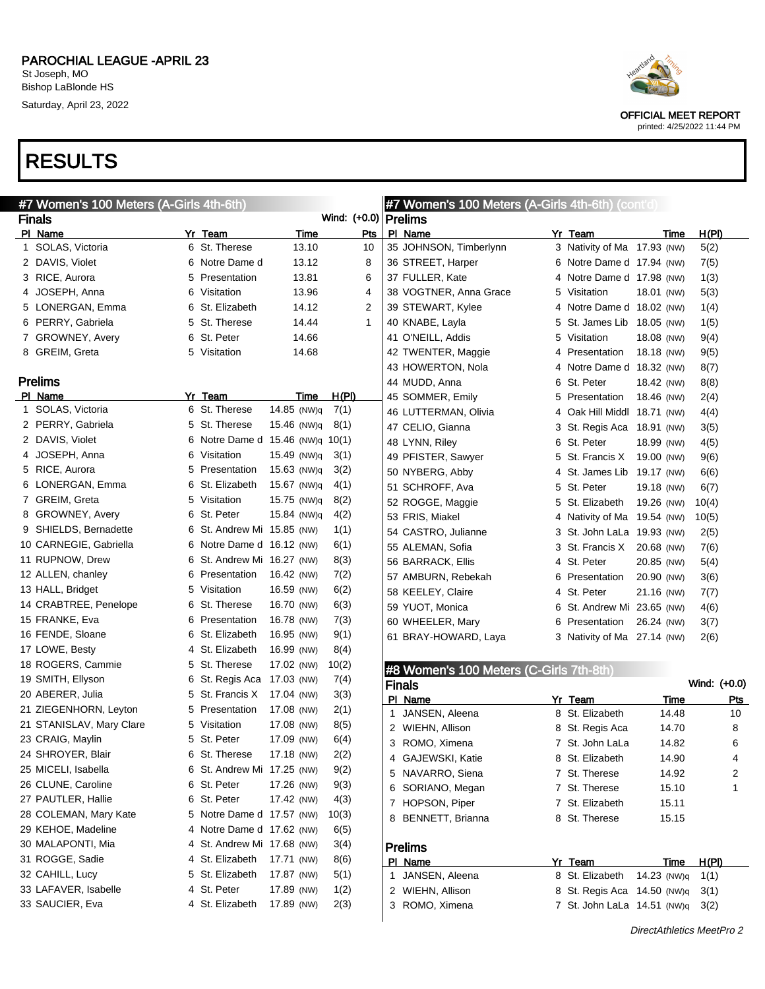Saturday, April 23, 2022

## RESULTS

| #7 Women's 100 Meters (A-Girls 4th-6th) |    |                                |             |                        | #7 Women's 100 Meters (A-Girls 4th-6th) (cont'd) |    |                             |             |              |
|-----------------------------------------|----|--------------------------------|-------------|------------------------|--------------------------------------------------|----|-----------------------------|-------------|--------------|
| <b>Finals</b>                           |    |                                |             | Wind: (+0.0)   Prelims |                                                  |    |                             |             |              |
| PI Name                                 |    | Yr Team                        | Time        | Pts                    | PI Name                                          |    | Yr Team                     | Time        | H(PI)        |
| 1 SOLAS, Victoria                       |    | 6 St. Therese                  | 13.10       | 10                     | 35 JOHNSON, Timberlynn                           |    | 3 Nativity of Ma 17.93 (NW) |             | 5(2)         |
| 2 DAVIS, Violet                         |    | 6 Notre Dame d                 | 13.12       | 8                      | 36 STREET, Harper                                |    | 6 Notre Dame d 17.94 (NW)   |             | 7(5)         |
| 3 RICE, Aurora                          | 5. | Presentation                   | 13.81       | 6                      | 37 FULLER, Kate                                  |    | 4 Notre Dame d 17.98 (NW)   |             | 1(3)         |
| 4 JOSEPH, Anna                          |    | 6 Visitation                   | 13.96       | 4                      | 38 VOGTNER, Anna Grace                           | 5. | Visitation                  | 18.01 (NW)  | 5(3)         |
| 5 LONERGAN, Emma                        |    | 6 St. Elizabeth                | 14.12       | 2                      | 39 STEWART, Kylee                                |    | 4 Notre Dame d 18.02 (NW)   |             | 1(4)         |
| 6 PERRY, Gabriela                       |    | 5 St. Therese                  | 14.44       | 1                      | 40 KNABE, Layla                                  |    | 5 St. James Lib 18.05 (NW)  |             | 1(5)         |
| 7 GROWNEY, Avery                        | 6. | St. Peter                      | 14.66       |                        | 41 O'NEILL, Addis                                | 5. | Visitation                  | 18.08 (NW)  | 9(4)         |
| 8 GREIM, Greta                          |    | 5 Visitation                   | 14.68       |                        | 42 TWENTER, Maggie                               |    | 4 Presentation              | 18.18 (NW)  | 9(5)         |
|                                         |    |                                |             |                        | 43 HOWERTON, Nola                                |    | 4 Notre Dame d 18.32 (NW)   |             | 8(7)         |
| <b>Prelims</b>                          |    |                                |             |                        | 44 MUDD, Anna                                    |    | 6 St. Peter                 | 18.42 (NW)  | 8(8)         |
| PI Name                                 |    | Yr Team                        | Time        | <u>H(PI)</u>           | 45 SOMMER, Emily                                 |    | 5 Presentation              | 18.46 (NW)  | 2(4)         |
| 1 SOLAS, Victoria                       |    | 6 St. Therese                  | 14.85 (NW)q | 7(1)                   | 46 LUTTERMAN, Olivia                             |    | 4 Oak Hill Middl 18.71 (NW) |             | 4(4)         |
| 2 PERRY, Gabriela                       |    | 5 St. Therese                  | 15.46 (NW)q | 8(1)                   | 47 CELIO, Gianna                                 |    | 3 St. Regis Aca 18.91 (NW)  |             | 3(5)         |
| 2 DAVIS, Violet                         | 6. | Notre Dame d 15.46 (NW)q 10(1) |             |                        | 48 LYNN, Riley                                   |    | 6 St. Peter                 | 18.99 (NW)  | 4(5)         |
| 4 JOSEPH, Anna                          | 6  | Visitation                     | 15.49 (NW)q | 3(1)                   | 49 PFISTER, Sawyer                               |    | 5 St. Francis X 19.00 (NW)  |             | 9(6)         |
| 5 RICE, Aurora                          | 5  | Presentation                   | 15.63 (NW)q | 3(2)                   | 50 NYBERG, Abby                                  |    | 4 St. James Lib 19.17 (NW)  |             | 6(6)         |
| 6 LONERGAN, Emma                        | 6  | St. Elizabeth                  | 15.67 (NW)q | 4(1)                   | 51 SCHROFF, Ava                                  |    | 5 St. Peter                 | 19.18 (NW)  | 6(7)         |
| 7 GREIM, Greta                          | 5  | Visitation                     | 15.75 (NW)q | 8(2)                   | 52 ROGGE, Maggie                                 |    | 5 St. Elizabeth             | 19.26 (NW)  | 10(4)        |
| 8 GROWNEY, Avery                        | 6  | St. Peter                      | 15.84 (NW)q | 4(2)                   | 53 FRIS, Miakel                                  |    | 4 Nativity of Ma 19.54 (NW) |             |              |
| 9 SHIELDS, Bernadette                   | 6  | St. Andrew Mi 15.85 (NW)       |             | 1(1)                   | 54 CASTRO, Julianne                              |    |                             |             | 10(5)        |
| 10 CARNEGIE, Gabriella                  | 6  | Notre Dame d 16.12 (NW)        |             | 6(1)                   |                                                  |    | 3 St. John LaLa 19.93 (NW)  |             | 2(5)         |
| 11 RUPNOW, Drew                         | 6  | St. Andrew Mi 16.27 (NW)       |             | 8(3)                   | 55 ALEMAN, Sofia                                 |    | 3 St. Francis X             | 20.68 (NW)  | 7(6)         |
| 12 ALLEN, chanley                       | 6  | Presentation                   | 16.42 (NW)  | 7(2)                   | 56 BARRACK, Ellis                                |    | 4 St. Peter                 | 20.85 (NW)  | 5(4)         |
| 13 HALL, Bridget                        | 5  | Visitation                     | 16.59 (NW)  |                        | 57 AMBURN, Rebekah                               |    | 6 Presentation              | 20.90 (NW)  | 3(6)         |
| 14 CRABTREE, Penelope                   | 6  | St. Therese                    | 16.70 (NW)  | 6(2)                   | 58 KEELEY, Claire                                |    | 4 St. Peter                 | 21.16 (NW)  | 7(7)         |
|                                         |    |                                |             | 6(3)                   | 59 YUOT, Monica                                  |    | 6 St. Andrew Mi 23.65 (NW)  |             | 4(6)         |
| 15 FRANKE, Eva                          | 6  | Presentation                   | 16.78 (NW)  | 7(3)                   | 60 WHEELER, Mary                                 | 6  | Presentation                | 26.24 (NW)  | 3(7)         |
| 16 FENDE, Sloane                        | 6  | St. Elizabeth                  | 16.95 (NW)  | 9(1)                   | 61 BRAY-HOWARD, Laya                             |    | 3 Nativity of Ma 27.14 (NW) |             | 2(6)         |
| 17 LOWE, Besty                          |    | St. Elizabeth                  | 16.99 (NW)  | 8(4)                   |                                                  |    |                             |             |              |
| 18 ROGERS, Cammie                       | 5  | St. Therese                    | 17.02 (NW)  | 10(2)                  | #8 Women's 100 Meters (C-Girls 7th-8th)          |    |                             |             |              |
| 19 SMITH, Ellyson                       | 6  | St. Regis Aca                  | 17.03 (NW)  | 7(4)                   | <b>Finals</b>                                    |    |                             |             | Wind: (+0.0) |
| 20 ABERER, Julia                        | 5  | St. Francis X                  | 17.04 (NW)  | 3(3)                   | PI Name                                          |    | Yr Team                     | Time        | <b>Pts</b>   |
| 21 ZIEGENHORN, Leyton                   | 5  | Presentation                   | 17.08 (NW)  | 2(1)                   | 1 JANSEN, Aleena                                 |    | 8 St. Elizabeth             | 14.48       | 10           |
| 21 STANISLAV, Mary Clare                | 5. | Visitation                     | 17.08 (NW)  | 8(5)                   | 2 WIEHN, Allison                                 |    | 8 St. Regis Aca             | 14.70       | 8            |
| 23 CRAIG, Maylin                        |    | 5 St. Peter                    | 17.09 (NW)  | 6(4)                   | 3 ROMO, Ximena                                   |    | 7 St. John LaLa             | 14.82       | 6            |
| 24 SHROYER, Blair                       |    | 6 St. Therese                  | 17.18 (NW)  | 2(2)                   | 4 GAJEWSKI, Katie                                |    | 8 St. Elizabeth             | 14.90       | 4            |
| 25 MICELI, Isabella                     |    | 6 St. Andrew Mi 17.25 (NW)     |             | 9(2)                   | 5 NAVARRO, Siena                                 |    | 7 St. Therese               | 14.92       | 2            |
| 26 CLUNE, Caroline                      |    | 6 St. Peter                    | 17.26 (NW)  | 9(3)                   | 6 SORIANO, Megan                                 |    | 7 St. Therese               | 15.10       | 1            |
| 27 PAUTLER, Hallie                      |    | 6 St. Peter                    | 17.42 (NW)  | 4(3)                   | 7 HOPSON, Piper                                  |    | 7 St. Elizabeth             | 15.11       |              |
| 28 COLEMAN, Mary Kate                   |    | 5 Notre Dame d 17.57 (NW)      |             | 10(3)                  | 8 BENNETT, Brianna                               |    | 8 St. Therese               | 15.15       |              |
| 29 KEHOE, Madeline                      |    | 4 Notre Dame d 17.62 (NW)      |             | 6(5)                   |                                                  |    |                             |             |              |
| 30 MALAPONTI, Mia                       |    | 4 St. Andrew Mi 17.68 (NW)     |             | 3(4)                   | <b>Prelims</b>                                   |    |                             |             |              |
| 31 ROGGE, Sadie                         |    | 4 St. Elizabeth                | 17.71 (NW)  | 8(6)                   | PI Name                                          |    | Yr Team                     | Time        | H(PI)        |
| 32 CAHILL, Lucy                         |    | 5 St. Elizabeth                | 17.87 (NW)  | 5(1)                   | 1 JANSEN, Aleena                                 |    | 8 St. Elizabeth             | 14.23 (NW)q | 1(1)         |
| 33 LAFAVER, Isabelle                    |    | 4 St. Peter                    | 17.89 (NW)  | 1(2)                   | 2 WIEHN, Allison                                 |    | 8 St. Regis Aca 14.50 (NW)q |             | 3(1)         |
| 33 SAUCIER, Eva                         |    | 4 St. Elizabeth                | 17.89 (NW)  | 2(3)                   | 3 ROMO, Ximena                                   |    | 7 St. John LaLa 14.51 (NW)q |             | 3(2)         |
|                                         |    |                                |             |                        |                                                  |    |                             |             |              |



OFFICIAL MEET REPORT printed: 4/25/2022 11:44 PM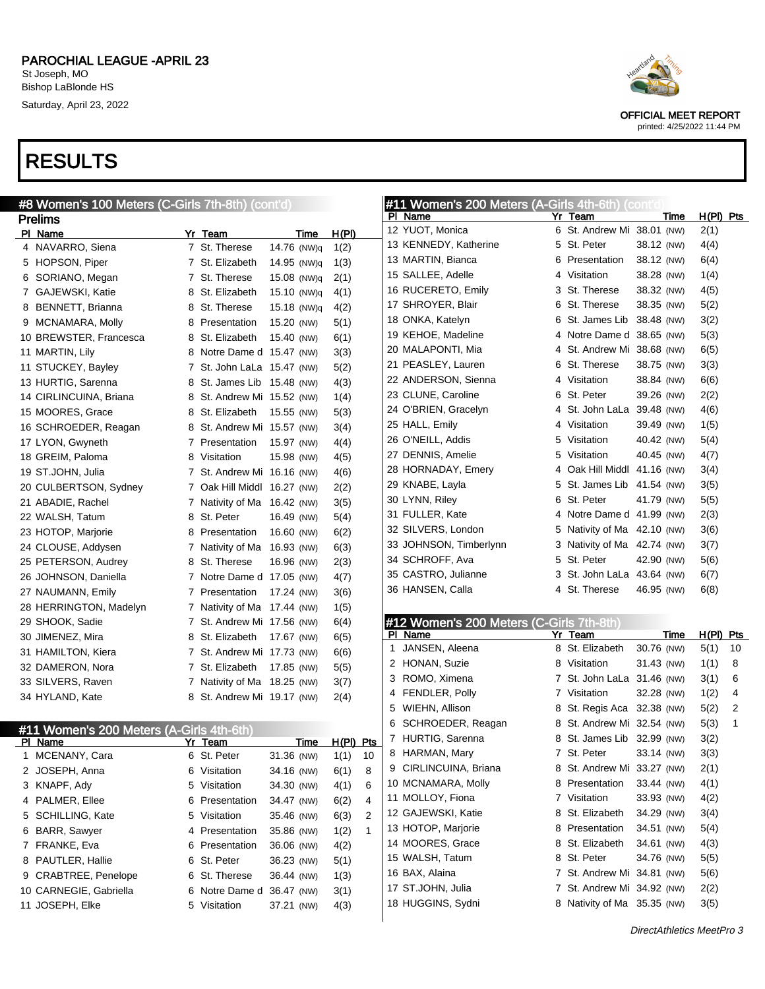

OFFICIAL MEET REPORT printed: 4/25/2022 11:44 PM

| #8 Women's 100 Meters (C-Girls 7th-8th) (cont'd)    |                             |                          |              | #11 Women's 200 Meters (A-Girls 4th-6th) (cont'd |   |                             |             |             |
|-----------------------------------------------------|-----------------------------|--------------------------|--------------|--------------------------------------------------|---|-----------------------------|-------------|-------------|
| <b>Prelims</b>                                      |                             |                          |              | PI Name                                          |   | Yr Team                     | <b>Time</b> | $H(PI)$ Pts |
| PI Name                                             | Yr Team                     | Time                     | H(PI)        | 12 YUOT, Monica                                  |   | 6 St. Andrew Mi 38.01 (NW)  |             | 2(1)        |
| 4 NAVARRO, Siena                                    | 7 St. Therese               | 14.76 (NW)q              | 1(2)         | 13 KENNEDY, Katherine                            |   | 5 St. Peter                 | 38.12 (NW)  | 4(4)        |
| 5 HOPSON, Piper                                     | 7 St. Elizabeth             | 14.95 (NW)q              | 1(3)         | 13 MARTIN, Bianca                                |   | 6 Presentation              | 38.12 (NW)  | 6(4)        |
| 6 SORIANO, Megan                                    | 7 St. Therese               | 15.08 (NW)q              | 2(1)         | 15 SALLEE, Adelle                                |   | 4 Visitation                | 38.28 (NW)  | 1(4)        |
| 7 GAJEWSKI, Katie                                   | 8 St. Elizabeth             | 15.10 (NW)q              | 4(1)         | 16 RUCERETO, Emily                               |   | 3 St. Therese               | 38.32 (NW)  | 4(5)        |
| 8 BENNETT, Brianna                                  | 8 St. Therese               | 15.18 (NW)q              | 4(2)         | 17 SHROYER, Blair                                |   | 6 St. Therese               | 38.35 (NW)  | 5(2)        |
| 9 MCNAMARA, Molly                                   | 8 Presentation              | 15.20 (NW)               | 5(1)         | 18 ONKA, Katelyn                                 |   | 6 St. James Lib 38.48 (NW)  |             | 3(2)        |
| 10 BREWSTER, Francesca                              | 8 St. Elizabeth             | 15.40 (NW)               | 6(1)         | 19 KEHOE, Madeline                               |   | 4 Notre Dame d 38.65 (NW)   |             | 5(3)        |
| 11 MARTIN, Lily                                     | 8 Notre Dame d 15.47 (NW)   |                          | 3(3)         | 20 MALAPONTI, Mia                                |   | 4 St. Andrew Mi 38.68 (NW)  |             | 6(5)        |
| 11 STUCKEY, Bayley                                  | 7 St. John LaLa 15.47 (NW)  |                          | 5(2)         | 21 PEASLEY, Lauren                               |   | 6 St. Therese               | 38.75 (NW)  | 3(3)        |
| 13 HURTIG, Sarenna                                  | 8 St. James Lib 15.48 (NW)  |                          | 4(3)         | 22 ANDERSON, Sienna                              |   | 4 Visitation                | 38.84 (NW)  | 6(6)        |
| 14 CIRLINCUINA, Briana                              | 8 St. Andrew Mi 15.52 (NW)  |                          | 1(4)         | 23 CLUNE, Caroline                               |   | 6 St. Peter                 | 39.26 (NW)  | 2(2)        |
| 15 MOORES, Grace                                    | 8 St. Elizabeth             | 15.55 (NW)               | 5(3)         | 24 O'BRIEN, Gracelyn                             |   | 4 St. John LaLa 39.48 (NW)  |             | 4(6)        |
| 16 SCHROEDER, Reagan                                | 8 St. Andrew Mi 15.57 (NW)  |                          | 3(4)         | 25 HALL, Emily                                   |   | 4 Visitation                | 39.49 (NW)  | 1(5)        |
| 17 LYON, Gwyneth                                    | 7 Presentation              | 15.97 (NW)               | 4(4)         | 26 O'NEILL, Addis                                |   | 5 Visitation                | 40.42 (NW)  | 5(4)        |
| 18 GREIM, Paloma                                    | 8 Visitation                | 15.98 (NW)               | 4(5)         | 27 DENNIS, Amelie                                |   | 5 Visitation                | 40.45 (NW)  | 4(7)        |
| 19 ST.JOHN, Julia                                   | 7 St. Andrew Mi 16.16 (NW)  |                          | 4(6)         | 28 HORNADAY, Emery                               |   | 4 Oak Hill Middl 41.16 (NW) |             | 3(4)        |
| 20 CULBERTSON, Sydney                               | 7 Oak Hill Middl 16.27 (NW) |                          | 2(2)         | 29 KNABE, Layla                                  |   | 5 St. James Lib 41.54 (NW)  |             | 3(5)        |
| 21 ABADIE, Rachel                                   | 7 Nativity of Ma 16.42 (NW) |                          | 3(5)         | 30 LYNN, Riley                                   |   | 6 St. Peter                 | 41.79 (NW)  | 5(5)        |
| 22 WALSH, Tatum                                     | 8 St. Peter                 | 16.49 (NW)               | 5(4)         | 31 FULLER, Kate                                  |   | 4 Notre Dame d 41.99 (NW)   |             | 2(3)        |
| 23 HOTOP, Marjorie                                  | 8 Presentation              | 16.60 (NW)               | 6(2)         | 32 SILVERS, London                               |   | 5 Nativity of Ma 42.10 (NW) |             | 3(6)        |
| 24 CLOUSE, Addysen                                  | 7 Nativity of Ma 16.93 (NW) |                          | 6(3)         | 33 JOHNSON, Timberlynn                           |   | 3 Nativity of Ma 42.74 (NW) |             | 3(7)        |
| 25 PETERSON, Audrey                                 | 8 St. Therese               | 16.96 (NW)               | 2(3)         | 34 SCHROFF, Ava                                  |   | 5 St. Peter                 | 42.90 (NW)  | 5(6)        |
| 26 JOHNSON, Daniella                                | 7 Notre Dame d 17.05 (NW)   |                          | 4(7)         | 35 CASTRO, Julianne                              |   | 3 St. John LaLa 43.64 (NW)  |             | 6(7)        |
| 27 NAUMANN, Emily                                   | 7 Presentation              | 17.24 (NW)               | 3(6)         | 36 HANSEN, Calla                                 |   | 4 St. Therese               | 46.95 (NW)  | 6(8)        |
| 28 HERRINGTON, Madelyn                              | 7 Nativity of Ma 17.44 (NW) |                          | 1(5)         |                                                  |   |                             |             |             |
| 29 SHOOK, Sadie                                     | 7 St. Andrew Mi 17.56 (NW)  |                          | 6(4)         | #12 Women's 200 Meters (C-Girls 7th-8th)         |   |                             |             |             |
| 30 JIMENEZ, Mira                                    | 8 St. Elizabeth             | 17.67 (NW)               | 6(5)         | PI Name                                          |   | Yr Team                     | Time        | $H(PI)$ Pts |
| 31 HAMILTON, Kiera                                  | 7 St. Andrew Mi 17.73 (NW)  |                          | 6(6)         | JANSEN, Aleena<br>1                              |   | 8 St. Elizabeth             | 30.76 (NW)  | 5(1)<br>10  |
| 32 DAMERON, Nora                                    | 7 St. Elizabeth             | 17.85 (NW)               | 5(5)         | 2 HONAN, Suzie                                   |   | 8 Visitation                | 31.43 (NW)  | 1(1)<br>8   |
| 33 SILVERS, Raven                                   | 7 Nativity of Ma 18.25 (NW) |                          | 3(7)         | 3 ROMO, Ximena                                   |   | 7 St. John LaLa 31.46 (NW)  |             | 3(1)<br>6   |
| 34 HYLAND, Kate                                     | 8 St. Andrew Mi 19.17 (NW)  |                          | 2(4)         | 4 FENDLER, Polly                                 |   | 7 Visitation                | 32.28 (NW)  | 1(2)<br>4   |
|                                                     |                             |                          |              | 5 WIEHN, Allison                                 |   | 8 St. Regis Aca 32.38 (NW)  |             | 5(2)<br>2   |
|                                                     |                             |                          |              | 6 SCHROEDER, Reagan                              |   | 8 St. Andrew Mi 32.54 (NW)  |             | 5(3)<br>1   |
| #11 Women's 200 Meters (A-Girls 4th-6th)<br>PI Name | Yr Team                     | Time                     | $H(PI)$ Pts  | 7 HURTIG, Sarenna                                |   | 8 St. James Lib 32.99 (NW)  |             | 3(2)        |
| MCENANY, Cara<br>1                                  | 6 St. Peter                 | 31.36 (NW)               | 1(1)<br>10   | 8 HARMAN, Mary                                   |   | 7 St. Peter                 | 33.14 (NW)  | 3(3)        |
| 2 JOSEPH, Anna                                      | 6 Visitation                | 34.16 (NW)               | 8<br>6(1)    | 9 CIRLINCUINA, Briana                            | 8 | St. Andrew Mi 33.27 (NW)    |             | 2(1)        |
| 3 KNAPF, Ady                                        | 5 Visitation                | 34.30 (NW)               | 6<br>4(1)    | 10 MCNAMARA, Molly                               | 8 | Presentation                | 33.44 (NW)  | 4(1)        |
| 4 PALMER, Ellee                                     | 6 Presentation              | 34.47 (NW)               | 6(2)<br>4    | 11 MOLLOY, Fiona                                 |   | 7 Visitation                | 33.93 (NW)  | 4(2)        |
| 5 SCHILLING, Kate                                   | 5 Visitation                | 35.46 (NW)               | 2<br>6(3)    | 12 GAJEWSKI, Katie                               | 8 | St. Elizabeth               | 34.29 (NW)  | 3(4)        |
|                                                     | 4 Presentation              |                          | $\mathbf{1}$ | 13 HOTOP, Marjorie                               |   | 8 Presentation              | 34.51 (NW)  | 5(4)        |
| 6 BARR, Sawyer<br>7 FRANKE, Eva                     | 6 Presentation              | 35.86 (NW)<br>36.06 (NW) | 1(2)         | 14 MOORES, Grace                                 | 8 | St. Elizabeth               | 34.61 (NW)  | 4(3)        |
| 8 PAUTLER, Hallie                                   |                             |                          | 4(2)         | 15 WALSH, Tatum                                  | 8 | St. Peter                   | 34.76 (NW)  | 5(5)        |
|                                                     | 6 St. Peter                 | 36.23 (NW)               | 5(1)         | 16 BAX, Alaina                                   |   | 7 St. Andrew Mi 34.81 (NW)  |             | 5(6)        |
| 9 CRABTREE, Penelope                                | 6 St. Therese               | 36.44 (NW)               | 1(3)         | 17 ST.JOHN, Julia                                |   | 7 St. Andrew Mi 34.92 (NW)  |             | 2(2)        |
| 10 CARNEGIE, Gabriella                              | 6 Notre Dame d 36.47 (NW)   |                          | 3(1)         | 18 HUGGINS, Sydni                                |   | 8 Nativity of Ma 35.35 (NW) |             | 3(5)        |
| 11 JOSEPH, Elke                                     | 5 Visitation                | 37.21 (NW)               | 4(3)         |                                                  |   |                             |             |             |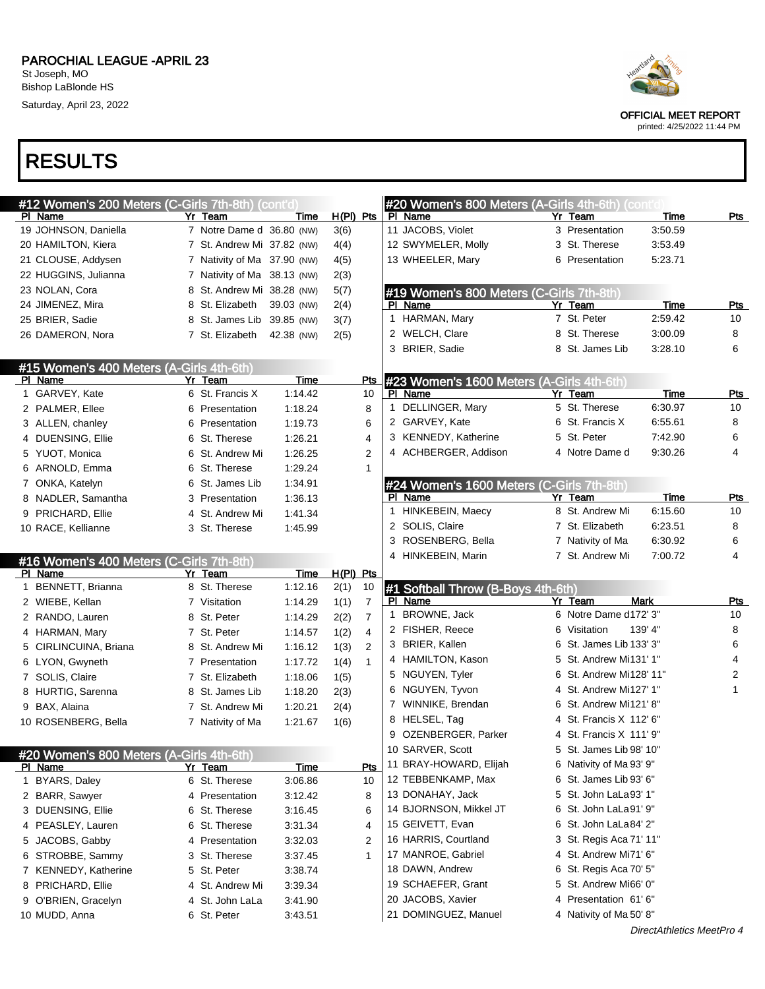

OFFICIAL MEET REPORT

printed: 4/25/2022 11:44 PM

|                       | #12 Women's 200 Meters (C-Girls 7th-8th) (cont'd) |                             |             |             |                | #20 Women's 800 Meters (A-Girls 4th-6th) (cont'd |   |                         |         |            |
|-----------------------|---------------------------------------------------|-----------------------------|-------------|-------------|----------------|--------------------------------------------------|---|-------------------------|---------|------------|
| PI Name               |                                                   | Yr Team                     | Time        | $H(PI)$ Pts |                | PI Name                                          |   | Yr Team                 | Time    | <u>Pts</u> |
| 19 JOHNSON, Daniella  |                                                   | 7 Notre Dame d 36.80 (NW)   |             | 3(6)        |                | 11 JACOBS, Violet                                |   | 3 Presentation          | 3:50.59 |            |
| 20 HAMILTON, Kiera    |                                                   | 7 St. Andrew Mi 37.82 (NW)  |             | 4(4)        |                | 12 SWYMELER, Molly                               |   | 3 St. Therese           | 3:53.49 |            |
| 21 CLOUSE, Addysen    |                                                   | 7 Nativity of Ma 37.90 (NW) |             | 4(5)        |                | 13 WHEELER, Mary                                 |   | 6 Presentation          | 5:23.71 |            |
| 22 HUGGINS, Julianna  |                                                   | 7 Nativity of Ma 38.13 (NW) |             | 2(3)        |                |                                                  |   |                         |         |            |
| 23 NOLAN, Cora        |                                                   | 8 St. Andrew Mi 38.28 (NW)  |             | 5(7)        |                | #19 Women's 800 Meters (C-Girls 7th-8th)         |   |                         |         |            |
| 24 JIMENEZ, Mira      |                                                   | 8 St. Elizabeth             | 39.03 (NW)  | 2(4)        |                | PI Name                                          |   | Yr Team                 | Time    | Pts        |
| 25 BRIER, Sadie       |                                                   | 8 St. James Lib             | 39.85 (NW)  | 3(7)        |                | 1 HARMAN, Mary                                   |   | 7 St. Peter             | 2:59.42 | 10         |
| 26 DAMERON, Nora      |                                                   | 7 St. Elizabeth             | 42.38 (NW)  | 2(5)        |                | 2 WELCH, Clare                                   |   | 8 St. Therese           | 3:00.09 | 8          |
|                       |                                                   |                             |             |             |                | 3 BRIER, Sadie                                   |   | 8 St. James Lib         | 3:28.10 | 6          |
|                       | #15 Women's 400 Meters (A-Girls 4th-6th)          |                             |             |             |                |                                                  |   |                         |         |            |
| PI Name               |                                                   | Yr Team                     | <b>Time</b> |             | <u>Pts</u>     | #23 Women's 1600 Meters (A-Girls 4th-6th)        |   |                         |         |            |
| 1 GARVEY, Kate        |                                                   | 6 St. Francis X             | 1:14.42     |             | 10             | PI Name                                          |   | Yr Team                 | Time    | Pts        |
| 2 PALMER, Ellee       |                                                   | 6 Presentation              | 1:18.24     |             | 8              | DELLINGER, Mary<br>1.                            |   | 5 St. Therese           | 6:30.97 | 10         |
| 3 ALLEN, chanley      |                                                   | 6 Presentation              | 1:19.73     |             | 6              | 2 GARVEY, Kate                                   |   | 6 St. Francis X         | 6:55.61 | 8          |
| 4 DUENSING, Ellie     |                                                   | 6 St. Therese               | 1:26.21     |             | 4              | 3 KENNEDY, Katherine                             |   | 5 St. Peter             | 7:42.90 | 6          |
| 5 YUOT, Monica        |                                                   | 6 St. Andrew Mi             | 1:26.25     |             | $\overline{2}$ | 4 ACHBERGER, Addison                             |   | 4 Notre Dame d          | 9:30.26 | 4          |
| 6 ARNOLD, Emma        |                                                   | 6 St. Therese               | 1:29.24     |             | 1              |                                                  |   |                         |         |            |
| 7 ONKA, Katelyn       |                                                   | 6 St. James Lib             | 1:34.91     |             |                | #24 Women's 1600 Meters (C-Girls 7th-8th)        |   |                         |         |            |
| 8 NADLER, Samantha    |                                                   | 3 Presentation              | 1:36.13     |             |                | PI Name                                          |   | $Yr$ Team               | Time    | <u>Pts</u> |
| 9 PRICHARD, Ellie     |                                                   | 4 St. Andrew Mi             | 1:41.34     |             |                | HINKEBEIN, Maecy<br>1                            |   | 8 St. Andrew Mi         | 6:15.60 | 10         |
| 10 RACE, Kellianne    |                                                   | 3 St. Therese               | 1:45.99     |             |                | 2 SOLIS, Claire                                  |   | 7 St. Elizabeth         | 6:23.51 | 8          |
|                       |                                                   |                             |             |             |                | ROSENBERG, Bella<br>3                            |   | 7 Nativity of Ma        | 6:30.92 | 6          |
|                       | #16 Women's 400 Meters (C-Girls 7th-8th)          |                             |             |             |                | 4 HINKEBEIN, Marin                               |   | 7 St. Andrew Mi         | 7:00.72 | 4          |
|                       |                                                   |                             |             |             |                |                                                  |   |                         |         |            |
| PI Name               |                                                   | Yr Team                     | Time        | H(PI) Pts   |                |                                                  |   |                         |         |            |
| 1 BENNETT, Brianna    |                                                   | 8 St. Therese               | 1:12.16     | 2(1)        | 10             | #1 Softball Throw (B-Boys 4th-6th)               |   |                         |         |            |
| 2 WIEBE, Kellan       |                                                   | 7 Visitation                | 1:14.29     | 1(1)        | $\overline{7}$ | PI Name                                          |   | <b>Mark</b><br>Yr Team  |         | <b>Pts</b> |
| 2 RANDO, Lauren       |                                                   | 8 St. Peter                 | 1:14.29     | 2(2)        | $\overline{7}$ | BROWNE, Jack<br>1                                |   | 6 Notre Dame d172' 3"   |         | 10         |
| 4 HARMAN, Mary        |                                                   | 7 St. Peter                 | 1:14.57     | 1(2)        | 4              | 2 FISHER, Reece                                  | 6 | 139' 4"<br>Visitation   |         | 8          |
| 5 CIRLINCUINA, Briana |                                                   | 8 St. Andrew Mi             | 1:16.12     | 1(3)        | $\overline{2}$ | 3 BRIER, Kallen                                  | 6 | St. James Lib 133' 3"   |         | 6          |
| 6 LYON, Gwyneth       |                                                   | 7 Presentation              | 1:17.72     | 1(4)        | $\mathbf{1}$   | 4 HAMILTON, Kason                                |   | 5 St. Andrew Mi131' 1"  |         | 4          |
| 7 SOLIS, Claire       |                                                   | 7 St. Elizabeth             | 1:18.06     | 1(5)        |                | 5 NGUYEN, Tyler                                  | 6 | St. Andrew Mi128' 11"   |         | 2          |
| 8 HURTIG, Sarenna     |                                                   | 8 St. James Lib             | 1:18.20     | 2(3)        |                | 6 NGUYEN, Tyvon                                  |   | 4 St. Andrew Mi127' 1"  |         | 1          |
| 9 BAX, Alaina         |                                                   | 7 St. Andrew Mi             | 1:20.21     | 2(4)        |                | 7 WINNIKE, Brendan                               | 6 | St. Andrew Mi121' 8"    |         |            |
| 10 ROSENBERG, Bella   |                                                   | 7 Nativity of Ma            | 1:21.67     | 1(6)        |                | 8 HELSEL, Tag                                    |   | 4 St. Francis X 112' 6" |         |            |
|                       |                                                   |                             |             |             |                | 9 OZENBERGER, Parker                             |   | 4 St. Francis X 111' 9" |         |            |
|                       |                                                   |                             |             |             |                | 10 SARVER, Scott                                 |   | 5 St. James Lib 98' 10" |         |            |
| <u>PI Name</u>        | #20 Women's 800 Meters (A-Girls 4th-6th)          | Yr Team                     | <u>Time</u> |             | Pts            | 11 BRAY-HOWARD, Elijah                           |   | 6 Nativity of Ma 93' 9" |         |            |
| 1 BYARS, Daley        |                                                   | 6 St. Therese               | 3:06.86     |             | 10             | 12 TEBBENKAMP, Max                               |   | 6 St. James Lib 93' 6"  |         |            |
| 2 BARR, Sawyer        |                                                   | 4 Presentation              | 3:12.42     |             | 8              | 13 DONAHAY, Jack                                 |   | 5 St. John LaLa 93' 1"  |         |            |
| 3 DUENSING, Ellie     |                                                   | 6 St. Therese               | 3:16.45     |             | 6              | 14 BJORNSON, Mikkel JT                           |   | 6 St. John LaLa91' 9"   |         |            |
| 4 PEASLEY, Lauren     |                                                   | 6 St. Therese               | 3:31.34     |             | 4              | 15 GEIVETT, Evan                                 |   | 6 St. John LaLa84' 2"   |         |            |
| 5 JACOBS, Gabby       |                                                   | 4 Presentation              | 3:32.03     |             | 2              | 16 HARRIS, Courtland                             |   | 3 St. Regis Aca 71' 11" |         |            |
| 6 STROBBE, Sammy      |                                                   | 3 St. Therese               | 3:37.45     |             | 1              | 17 MANROE, Gabriel                               |   | 4 St. Andrew Mi71' 6"   |         |            |
| 7 KENNEDY, Katherine  |                                                   | 5 St. Peter                 | 3:38.74     |             |                | 18 DAWN, Andrew                                  |   | 6 St. Regis Aca 70' 5"  |         |            |
| 8 PRICHARD, Ellie     |                                                   | 4 St. Andrew Mi             | 3:39.34     |             |                | 19 SCHAEFER, Grant                               |   | 5 St. Andrew Mi66' 0"   |         |            |
| 9 O'BRIEN, Gracelyn   |                                                   | 4 St. John LaLa             | 3:41.90     |             |                | 20 JACOBS, Xavier                                | 4 | Presentation 61'6"      |         |            |
| 10 MUDD, Anna         |                                                   | 6 St. Peter                 | 3:43.51     |             |                | 21 DOMINGUEZ, Manuel                             |   | 4 Nativity of Ma 50' 8" |         |            |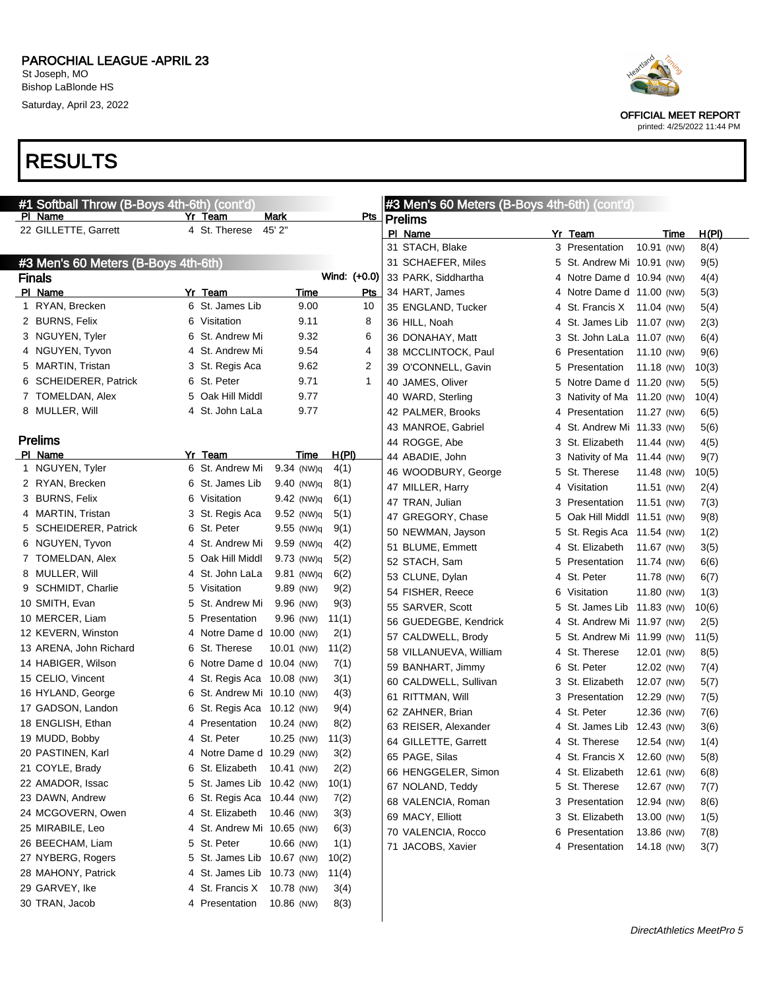Saturday, April 23, 2022

## RESULTS

| PI Name<br>Mark<br>Yr Team<br><u>Pts</u><br><b>Prelims</b><br>22 GILLETTE, Garrett<br>4 St. Therese<br>45' 2"<br>PI Name<br>H(PI)<br>Yr Team<br>Time<br>31 STACH, Blake<br>3 Presentation<br>10.91 (NW)<br>8(4)<br>#3 Men's 60 Meters (B-Boys 4th-6th)<br>5 St. Andrew Mi 10.91 (NW)<br>9(5)<br>31 SCHAEFER, Miles<br>Wind: (+0.0)<br><b>Finals</b><br>33 PARK, Siddhartha<br>4 Notre Dame d 10.94 (NW)<br>4(4)<br>PI Name<br>Yr Team<br>Time<br>Pts<br>34 HART, James<br>4 Notre Dame d 11.00 (NW)<br>5(3)<br>6 St. James Lib<br>1 RYAN, Brecken<br>9.00<br>10<br>35 ENGLAND, Tucker<br>4 St. Francis X 11.04 (NW)<br>5(4)<br>2 BURNS, Felix<br>6 Visitation<br>9.11<br>8<br>36 HILL, Noah<br>4 St. James Lib 11.07 (NW)<br>2(3)<br>3 NGUYEN, Tyler<br>6 St. Andrew Mi<br>9.32<br>6<br>36 DONAHAY, Matt<br>3 St. John LaLa 11.07 (NW)<br>6(4)<br>4 NGUYEN, Tyvon<br>4 St. Andrew Mi<br>9.54<br>4<br>38 MCCLINTOCK, Paul<br>Presentation<br>11.10 (NW)<br>6<br>9(6)<br>5 MARTIN, Tristan<br>3 St. Regis Aca<br>9.62<br>2<br>39 O'CONNELL, Gavin<br>Presentation<br>11.18 (NW)<br>10(3)<br>5.<br>6 SCHEIDERER, Patrick<br>6 St. Peter<br>9.71<br>$\mathbf 1$<br>40 JAMES, Oliver<br>Notre Dame d 11.20 (NW)<br>5.<br>5(5)<br>5 Oak Hill Middl<br>7 TOMELDAN, Alex<br>9.77<br>40 WARD, Sterling<br>Nativity of Ma 11.20 (NW)<br>10(4)<br>3<br>8 MULLER, Will<br>4 St. John LaLa<br>9.77<br>42 PALMER, Brooks<br>Presentation<br>11.27 (NW)<br>6(5)<br>4<br>43 MANROE, Gabriel<br>St. Andrew Mi 11.33 (NW)<br>5(6)<br>4<br><b>Prelims</b><br>44 ROGGE, Abe<br>3 St. Elizabeth<br>11.44 (NW)<br>4(5)<br>PI Name<br>Yr Team<br>H(PI)<br>Time<br>44 ABADIE, John<br>3 Nativity of Ma 11.44 (NW)<br>9(7)<br>1 NGUYEN, Tyler<br>6 St. Andrew Mi<br>$9.34$ (NW)g<br>4(1)<br>46 WOODBURY, George<br>5 St. Therese<br>11.48 (NW)<br>10(5)<br>2 RYAN, Brecken<br>6 St. James Lib<br>$9.40$ (NW)g<br>8(1)<br>47 MILLER, Harry<br>4 Visitation<br>11.51 (NW)<br>2(4)<br>3 BURNS, Felix<br>6 Visitation<br>$9.42$ (NW)q<br>6(1)<br>47 TRAN, Julian<br>11.51 (NW)<br>3.<br>Presentation<br>7(3)<br>4 MARTIN, Tristan<br>9.52 (NW)q<br>5(1)<br>3 St. Regis Aca<br>47 GREGORY, Chase<br>Oak Hill Middl 11.51 (NW)<br>9(8)<br>5.<br>5 SCHEIDERER, Patrick<br>6 St. Peter<br>$9.55$ (NW)q<br>9(1)<br>50 NEWMAN, Jayson<br>5 St. Regis Aca 11.54 (NW)<br>1(2)<br>6 NGUYEN, Tyvon<br>$9.59$ (NW)q<br>4(2)<br>4 St. Andrew Mi<br>51 BLUME, Emmett<br>4 St. Elizabeth<br>11.67 (NW)<br>3(5)<br>7 TOMELDAN, Alex<br>5 Oak Hill Middl<br>$9.73$ (NW)q<br>5(2)<br>52 STACH, Sam<br>5 Presentation<br>11.74 (NW)<br>6(6)<br>8 MULLER, Will<br>4 St. John LaLa<br>$9.81$ (NW)q<br>6(2)<br>53 CLUNE, Dylan<br>4 St. Peter<br>11.78 (NW)<br>6(7)<br>9 SCHMIDT, Charlie<br>5 Visitation<br>9.89 (NW)<br>9(2)<br>54 FISHER, Reece<br>6 Visitation<br>11.80 (NW)<br>1(3)<br>9(3)<br>10 SMITH, Evan<br>9.96 (NW)<br>5 St. Andrew Mi<br>55 SARVER, Scott<br>St. James Lib 11.83 (NW)<br>5<br>10(6)<br>10 MERCER, Liam<br>5 Presentation<br>9.96 (NW)<br>11(1)<br>56 GUEDEGBE, Kendrick<br>4 St. Andrew Mi 11.97 (NW)<br>2(5)<br>12 KEVERN, Winston<br>4 Notre Dame d 10.00 (NW)<br>2(1)<br>57 CALDWELL, Brody<br>5 St. Andrew Mi 11.99 (NW)<br>11(5)<br>13 ARENA, John Richard<br>6 St. Therese<br>10.01 (NW)<br>11(2)<br>58 VILLANUEVA, William<br>4 St. Therese<br>12.01 (NW)<br>8(5)<br>14 HABIGER, Wilson<br>6 Notre Dame d 10.04 (NW)<br>7(1)<br>59 BANHART, Jimmy<br>6 St. Peter<br>12.02 (NW)<br>7(4)<br>15 CELIO, Vincent<br>3(1)<br>4 St. Regis Aca 10.08 (NW)<br>60 CALDWELL, Sullivan<br>3 St. Elizabeth<br>12.07 (NW)<br>5(7)<br>16 HYLAND, George<br>6 St. Andrew Mi 10.10 (NW)<br>4(3)<br>61 RITTMAN, Will<br>12.29 (NW)<br>3 Presentation<br>7(5)<br>17 GADSON, Landon<br>6 St. Regis Aca 10.12 (NW)<br>9(4)<br>62 ZAHNER, Brian<br>4 St. Peter<br>12.36 (NW)<br>7(6)<br>18 ENGLISH, Ethan<br>4 Presentation<br>10.24 (NW)<br>8(2)<br>63 REISER, Alexander<br>4 St. James Lib 12.43 (NW)<br>3(6)<br>19 MUDD, Bobby<br>4 St. Peter<br>10.25 (NW)<br>11(3)<br>64 GILLETTE, Garrett<br>4 St. Therese<br>12.54 (NW)<br>1(4)<br>20 PASTINEN, Karl<br>4 Notre Dame d 10.29 (NW)<br>3(2)<br>65 PAGE, Silas<br>4 St. Francis X<br>12.60 (NW)<br>5(8)<br>21 COYLE, Brady<br>2(2)<br>6 St. Elizabeth 10.41 (NW)<br>66 HENGGELER, Simon<br>4 St. Elizabeth<br>12.61 (NW)<br>6(8)<br>22 AMADOR, Issac<br>5 St. James Lib 10.42 (NW)<br>10(1)<br>67 NOLAND, Teddy<br>5 St. Therese<br>12.67 (NW)<br>7(7)<br>23 DAWN, Andrew<br>6 St. Regis Aca 10.44 (NW)<br>7(2)<br>68 VALENCIA, Roman<br>3 Presentation<br>12.94 (NW)<br>8(6)<br>24 MCGOVERN, Owen<br>4 St. Elizabeth<br>3(3)<br>10.46 (NW)<br>69 MACY, Elliott<br>3 St. Elizabeth<br>13.00 (NW)<br>1(5)<br>25 MIRABILE, Leo<br>4 St. Andrew Mi 10.65 (NW)<br>6(3)<br>70 VALENCIA, Rocco<br>Presentation<br>13.86 (NW)<br>6.<br>7(8)<br>26 BEECHAM, Liam<br>5 St. Peter<br>10.66 (NW)<br>1(1)<br>71 JACOBS, Xavier<br>4 Presentation<br>14.18 (NW)<br>3(7)<br>27 NYBERG, Rogers<br>5 St. James Lib 10.67 (NW)<br>10(2)<br>28 MAHONY, Patrick<br>4 St. James Lib 10.73 (NW)<br>11(4) | #1 Softball Throw (B-Boys 4th-6th) (cont'd) |  | #3 Men's 60 Meters (B-Boys 4th-6th) (cont'd) |  |  |
|-----------------------------------------------------------------------------------------------------------------------------------------------------------------------------------------------------------------------------------------------------------------------------------------------------------------------------------------------------------------------------------------------------------------------------------------------------------------------------------------------------------------------------------------------------------------------------------------------------------------------------------------------------------------------------------------------------------------------------------------------------------------------------------------------------------------------------------------------------------------------------------------------------------------------------------------------------------------------------------------------------------------------------------------------------------------------------------------------------------------------------------------------------------------------------------------------------------------------------------------------------------------------------------------------------------------------------------------------------------------------------------------------------------------------------------------------------------------------------------------------------------------------------------------------------------------------------------------------------------------------------------------------------------------------------------------------------------------------------------------------------------------------------------------------------------------------------------------------------------------------------------------------------------------------------------------------------------------------------------------------------------------------------------------------------------------------------------------------------------------------------------------------------------------------------------------------------------------------------------------------------------------------------------------------------------------------------------------------------------------------------------------------------------------------------------------------------------------------------------------------------------------------------------------------------------------------------------------------------------------------------------------------------------------------------------------------------------------------------------------------------------------------------------------------------------------------------------------------------------------------------------------------------------------------------------------------------------------------------------------------------------------------------------------------------------------------------------------------------------------------------------------------------------------------------------------------------------------------------------------------------------------------------------------------------------------------------------------------------------------------------------------------------------------------------------------------------------------------------------------------------------------------------------------------------------------------------------------------------------------------------------------------------------------------------------------------------------------------------------------------------------------------------------------------------------------------------------------------------------------------------------------------------------------------------------------------------------------------------------------------------------------------------------------------------------------------------------------------------------------------------------------------------------------------------------------------------------------------------------------------------------------------------------------------------------------------------------------------------------------------------------------------------------------------------------------------------------------------------------------------------------------------------------------------------------------------------------------------------------------------------------------------------------------------------------------------------------------------------------------------------------------------------------------------------------------------------------------------------------------------------------------------------------------------------------------------------------------------------------------------------------------------------------------------------------------------------------------------------|---------------------------------------------|--|----------------------------------------------|--|--|
|                                                                                                                                                                                                                                                                                                                                                                                                                                                                                                                                                                                                                                                                                                                                                                                                                                                                                                                                                                                                                                                                                                                                                                                                                                                                                                                                                                                                                                                                                                                                                                                                                                                                                                                                                                                                                                                                                                                                                                                                                                                                                                                                                                                                                                                                                                                                                                                                                                                                                                                                                                                                                                                                                                                                                                                                                                                                                                                                                                                                                                                                                                                                                                                                                                                                                                                                                                                                                                                                                                                                                                                                                                                                                                                                                                                                                                                                                                                                                                                                                                                                                                                                                                                                                                                                                                                                                                                                                                                                                                                                                                                                                                                                                                                                                                                                                                                                                                                                                                                                                                                                                                     |                                             |  |                                              |  |  |
|                                                                                                                                                                                                                                                                                                                                                                                                                                                                                                                                                                                                                                                                                                                                                                                                                                                                                                                                                                                                                                                                                                                                                                                                                                                                                                                                                                                                                                                                                                                                                                                                                                                                                                                                                                                                                                                                                                                                                                                                                                                                                                                                                                                                                                                                                                                                                                                                                                                                                                                                                                                                                                                                                                                                                                                                                                                                                                                                                                                                                                                                                                                                                                                                                                                                                                                                                                                                                                                                                                                                                                                                                                                                                                                                                                                                                                                                                                                                                                                                                                                                                                                                                                                                                                                                                                                                                                                                                                                                                                                                                                                                                                                                                                                                                                                                                                                                                                                                                                                                                                                                                                     |                                             |  |                                              |  |  |
|                                                                                                                                                                                                                                                                                                                                                                                                                                                                                                                                                                                                                                                                                                                                                                                                                                                                                                                                                                                                                                                                                                                                                                                                                                                                                                                                                                                                                                                                                                                                                                                                                                                                                                                                                                                                                                                                                                                                                                                                                                                                                                                                                                                                                                                                                                                                                                                                                                                                                                                                                                                                                                                                                                                                                                                                                                                                                                                                                                                                                                                                                                                                                                                                                                                                                                                                                                                                                                                                                                                                                                                                                                                                                                                                                                                                                                                                                                                                                                                                                                                                                                                                                                                                                                                                                                                                                                                                                                                                                                                                                                                                                                                                                                                                                                                                                                                                                                                                                                                                                                                                                                     |                                             |  |                                              |  |  |
|                                                                                                                                                                                                                                                                                                                                                                                                                                                                                                                                                                                                                                                                                                                                                                                                                                                                                                                                                                                                                                                                                                                                                                                                                                                                                                                                                                                                                                                                                                                                                                                                                                                                                                                                                                                                                                                                                                                                                                                                                                                                                                                                                                                                                                                                                                                                                                                                                                                                                                                                                                                                                                                                                                                                                                                                                                                                                                                                                                                                                                                                                                                                                                                                                                                                                                                                                                                                                                                                                                                                                                                                                                                                                                                                                                                                                                                                                                                                                                                                                                                                                                                                                                                                                                                                                                                                                                                                                                                                                                                                                                                                                                                                                                                                                                                                                                                                                                                                                                                                                                                                                                     |                                             |  |                                              |  |  |
|                                                                                                                                                                                                                                                                                                                                                                                                                                                                                                                                                                                                                                                                                                                                                                                                                                                                                                                                                                                                                                                                                                                                                                                                                                                                                                                                                                                                                                                                                                                                                                                                                                                                                                                                                                                                                                                                                                                                                                                                                                                                                                                                                                                                                                                                                                                                                                                                                                                                                                                                                                                                                                                                                                                                                                                                                                                                                                                                                                                                                                                                                                                                                                                                                                                                                                                                                                                                                                                                                                                                                                                                                                                                                                                                                                                                                                                                                                                                                                                                                                                                                                                                                                                                                                                                                                                                                                                                                                                                                                                                                                                                                                                                                                                                                                                                                                                                                                                                                                                                                                                                                                     |                                             |  |                                              |  |  |
|                                                                                                                                                                                                                                                                                                                                                                                                                                                                                                                                                                                                                                                                                                                                                                                                                                                                                                                                                                                                                                                                                                                                                                                                                                                                                                                                                                                                                                                                                                                                                                                                                                                                                                                                                                                                                                                                                                                                                                                                                                                                                                                                                                                                                                                                                                                                                                                                                                                                                                                                                                                                                                                                                                                                                                                                                                                                                                                                                                                                                                                                                                                                                                                                                                                                                                                                                                                                                                                                                                                                                                                                                                                                                                                                                                                                                                                                                                                                                                                                                                                                                                                                                                                                                                                                                                                                                                                                                                                                                                                                                                                                                                                                                                                                                                                                                                                                                                                                                                                                                                                                                                     |                                             |  |                                              |  |  |
|                                                                                                                                                                                                                                                                                                                                                                                                                                                                                                                                                                                                                                                                                                                                                                                                                                                                                                                                                                                                                                                                                                                                                                                                                                                                                                                                                                                                                                                                                                                                                                                                                                                                                                                                                                                                                                                                                                                                                                                                                                                                                                                                                                                                                                                                                                                                                                                                                                                                                                                                                                                                                                                                                                                                                                                                                                                                                                                                                                                                                                                                                                                                                                                                                                                                                                                                                                                                                                                                                                                                                                                                                                                                                                                                                                                                                                                                                                                                                                                                                                                                                                                                                                                                                                                                                                                                                                                                                                                                                                                                                                                                                                                                                                                                                                                                                                                                                                                                                                                                                                                                                                     |                                             |  |                                              |  |  |
|                                                                                                                                                                                                                                                                                                                                                                                                                                                                                                                                                                                                                                                                                                                                                                                                                                                                                                                                                                                                                                                                                                                                                                                                                                                                                                                                                                                                                                                                                                                                                                                                                                                                                                                                                                                                                                                                                                                                                                                                                                                                                                                                                                                                                                                                                                                                                                                                                                                                                                                                                                                                                                                                                                                                                                                                                                                                                                                                                                                                                                                                                                                                                                                                                                                                                                                                                                                                                                                                                                                                                                                                                                                                                                                                                                                                                                                                                                                                                                                                                                                                                                                                                                                                                                                                                                                                                                                                                                                                                                                                                                                                                                                                                                                                                                                                                                                                                                                                                                                                                                                                                                     |                                             |  |                                              |  |  |
|                                                                                                                                                                                                                                                                                                                                                                                                                                                                                                                                                                                                                                                                                                                                                                                                                                                                                                                                                                                                                                                                                                                                                                                                                                                                                                                                                                                                                                                                                                                                                                                                                                                                                                                                                                                                                                                                                                                                                                                                                                                                                                                                                                                                                                                                                                                                                                                                                                                                                                                                                                                                                                                                                                                                                                                                                                                                                                                                                                                                                                                                                                                                                                                                                                                                                                                                                                                                                                                                                                                                                                                                                                                                                                                                                                                                                                                                                                                                                                                                                                                                                                                                                                                                                                                                                                                                                                                                                                                                                                                                                                                                                                                                                                                                                                                                                                                                                                                                                                                                                                                                                                     |                                             |  |                                              |  |  |
|                                                                                                                                                                                                                                                                                                                                                                                                                                                                                                                                                                                                                                                                                                                                                                                                                                                                                                                                                                                                                                                                                                                                                                                                                                                                                                                                                                                                                                                                                                                                                                                                                                                                                                                                                                                                                                                                                                                                                                                                                                                                                                                                                                                                                                                                                                                                                                                                                                                                                                                                                                                                                                                                                                                                                                                                                                                                                                                                                                                                                                                                                                                                                                                                                                                                                                                                                                                                                                                                                                                                                                                                                                                                                                                                                                                                                                                                                                                                                                                                                                                                                                                                                                                                                                                                                                                                                                                                                                                                                                                                                                                                                                                                                                                                                                                                                                                                                                                                                                                                                                                                                                     |                                             |  |                                              |  |  |
|                                                                                                                                                                                                                                                                                                                                                                                                                                                                                                                                                                                                                                                                                                                                                                                                                                                                                                                                                                                                                                                                                                                                                                                                                                                                                                                                                                                                                                                                                                                                                                                                                                                                                                                                                                                                                                                                                                                                                                                                                                                                                                                                                                                                                                                                                                                                                                                                                                                                                                                                                                                                                                                                                                                                                                                                                                                                                                                                                                                                                                                                                                                                                                                                                                                                                                                                                                                                                                                                                                                                                                                                                                                                                                                                                                                                                                                                                                                                                                                                                                                                                                                                                                                                                                                                                                                                                                                                                                                                                                                                                                                                                                                                                                                                                                                                                                                                                                                                                                                                                                                                                                     |                                             |  |                                              |  |  |
|                                                                                                                                                                                                                                                                                                                                                                                                                                                                                                                                                                                                                                                                                                                                                                                                                                                                                                                                                                                                                                                                                                                                                                                                                                                                                                                                                                                                                                                                                                                                                                                                                                                                                                                                                                                                                                                                                                                                                                                                                                                                                                                                                                                                                                                                                                                                                                                                                                                                                                                                                                                                                                                                                                                                                                                                                                                                                                                                                                                                                                                                                                                                                                                                                                                                                                                                                                                                                                                                                                                                                                                                                                                                                                                                                                                                                                                                                                                                                                                                                                                                                                                                                                                                                                                                                                                                                                                                                                                                                                                                                                                                                                                                                                                                                                                                                                                                                                                                                                                                                                                                                                     |                                             |  |                                              |  |  |
|                                                                                                                                                                                                                                                                                                                                                                                                                                                                                                                                                                                                                                                                                                                                                                                                                                                                                                                                                                                                                                                                                                                                                                                                                                                                                                                                                                                                                                                                                                                                                                                                                                                                                                                                                                                                                                                                                                                                                                                                                                                                                                                                                                                                                                                                                                                                                                                                                                                                                                                                                                                                                                                                                                                                                                                                                                                                                                                                                                                                                                                                                                                                                                                                                                                                                                                                                                                                                                                                                                                                                                                                                                                                                                                                                                                                                                                                                                                                                                                                                                                                                                                                                                                                                                                                                                                                                                                                                                                                                                                                                                                                                                                                                                                                                                                                                                                                                                                                                                                                                                                                                                     |                                             |  |                                              |  |  |
|                                                                                                                                                                                                                                                                                                                                                                                                                                                                                                                                                                                                                                                                                                                                                                                                                                                                                                                                                                                                                                                                                                                                                                                                                                                                                                                                                                                                                                                                                                                                                                                                                                                                                                                                                                                                                                                                                                                                                                                                                                                                                                                                                                                                                                                                                                                                                                                                                                                                                                                                                                                                                                                                                                                                                                                                                                                                                                                                                                                                                                                                                                                                                                                                                                                                                                                                                                                                                                                                                                                                                                                                                                                                                                                                                                                                                                                                                                                                                                                                                                                                                                                                                                                                                                                                                                                                                                                                                                                                                                                                                                                                                                                                                                                                                                                                                                                                                                                                                                                                                                                                                                     |                                             |  |                                              |  |  |
|                                                                                                                                                                                                                                                                                                                                                                                                                                                                                                                                                                                                                                                                                                                                                                                                                                                                                                                                                                                                                                                                                                                                                                                                                                                                                                                                                                                                                                                                                                                                                                                                                                                                                                                                                                                                                                                                                                                                                                                                                                                                                                                                                                                                                                                                                                                                                                                                                                                                                                                                                                                                                                                                                                                                                                                                                                                                                                                                                                                                                                                                                                                                                                                                                                                                                                                                                                                                                                                                                                                                                                                                                                                                                                                                                                                                                                                                                                                                                                                                                                                                                                                                                                                                                                                                                                                                                                                                                                                                                                                                                                                                                                                                                                                                                                                                                                                                                                                                                                                                                                                                                                     |                                             |  |                                              |  |  |
|                                                                                                                                                                                                                                                                                                                                                                                                                                                                                                                                                                                                                                                                                                                                                                                                                                                                                                                                                                                                                                                                                                                                                                                                                                                                                                                                                                                                                                                                                                                                                                                                                                                                                                                                                                                                                                                                                                                                                                                                                                                                                                                                                                                                                                                                                                                                                                                                                                                                                                                                                                                                                                                                                                                                                                                                                                                                                                                                                                                                                                                                                                                                                                                                                                                                                                                                                                                                                                                                                                                                                                                                                                                                                                                                                                                                                                                                                                                                                                                                                                                                                                                                                                                                                                                                                                                                                                                                                                                                                                                                                                                                                                                                                                                                                                                                                                                                                                                                                                                                                                                                                                     |                                             |  |                                              |  |  |
|                                                                                                                                                                                                                                                                                                                                                                                                                                                                                                                                                                                                                                                                                                                                                                                                                                                                                                                                                                                                                                                                                                                                                                                                                                                                                                                                                                                                                                                                                                                                                                                                                                                                                                                                                                                                                                                                                                                                                                                                                                                                                                                                                                                                                                                                                                                                                                                                                                                                                                                                                                                                                                                                                                                                                                                                                                                                                                                                                                                                                                                                                                                                                                                                                                                                                                                                                                                                                                                                                                                                                                                                                                                                                                                                                                                                                                                                                                                                                                                                                                                                                                                                                                                                                                                                                                                                                                                                                                                                                                                                                                                                                                                                                                                                                                                                                                                                                                                                                                                                                                                                                                     |                                             |  |                                              |  |  |
|                                                                                                                                                                                                                                                                                                                                                                                                                                                                                                                                                                                                                                                                                                                                                                                                                                                                                                                                                                                                                                                                                                                                                                                                                                                                                                                                                                                                                                                                                                                                                                                                                                                                                                                                                                                                                                                                                                                                                                                                                                                                                                                                                                                                                                                                                                                                                                                                                                                                                                                                                                                                                                                                                                                                                                                                                                                                                                                                                                                                                                                                                                                                                                                                                                                                                                                                                                                                                                                                                                                                                                                                                                                                                                                                                                                                                                                                                                                                                                                                                                                                                                                                                                                                                                                                                                                                                                                                                                                                                                                                                                                                                                                                                                                                                                                                                                                                                                                                                                                                                                                                                                     |                                             |  |                                              |  |  |
|                                                                                                                                                                                                                                                                                                                                                                                                                                                                                                                                                                                                                                                                                                                                                                                                                                                                                                                                                                                                                                                                                                                                                                                                                                                                                                                                                                                                                                                                                                                                                                                                                                                                                                                                                                                                                                                                                                                                                                                                                                                                                                                                                                                                                                                                                                                                                                                                                                                                                                                                                                                                                                                                                                                                                                                                                                                                                                                                                                                                                                                                                                                                                                                                                                                                                                                                                                                                                                                                                                                                                                                                                                                                                                                                                                                                                                                                                                                                                                                                                                                                                                                                                                                                                                                                                                                                                                                                                                                                                                                                                                                                                                                                                                                                                                                                                                                                                                                                                                                                                                                                                                     |                                             |  |                                              |  |  |
|                                                                                                                                                                                                                                                                                                                                                                                                                                                                                                                                                                                                                                                                                                                                                                                                                                                                                                                                                                                                                                                                                                                                                                                                                                                                                                                                                                                                                                                                                                                                                                                                                                                                                                                                                                                                                                                                                                                                                                                                                                                                                                                                                                                                                                                                                                                                                                                                                                                                                                                                                                                                                                                                                                                                                                                                                                                                                                                                                                                                                                                                                                                                                                                                                                                                                                                                                                                                                                                                                                                                                                                                                                                                                                                                                                                                                                                                                                                                                                                                                                                                                                                                                                                                                                                                                                                                                                                                                                                                                                                                                                                                                                                                                                                                                                                                                                                                                                                                                                                                                                                                                                     |                                             |  |                                              |  |  |
|                                                                                                                                                                                                                                                                                                                                                                                                                                                                                                                                                                                                                                                                                                                                                                                                                                                                                                                                                                                                                                                                                                                                                                                                                                                                                                                                                                                                                                                                                                                                                                                                                                                                                                                                                                                                                                                                                                                                                                                                                                                                                                                                                                                                                                                                                                                                                                                                                                                                                                                                                                                                                                                                                                                                                                                                                                                                                                                                                                                                                                                                                                                                                                                                                                                                                                                                                                                                                                                                                                                                                                                                                                                                                                                                                                                                                                                                                                                                                                                                                                                                                                                                                                                                                                                                                                                                                                                                                                                                                                                                                                                                                                                                                                                                                                                                                                                                                                                                                                                                                                                                                                     |                                             |  |                                              |  |  |
|                                                                                                                                                                                                                                                                                                                                                                                                                                                                                                                                                                                                                                                                                                                                                                                                                                                                                                                                                                                                                                                                                                                                                                                                                                                                                                                                                                                                                                                                                                                                                                                                                                                                                                                                                                                                                                                                                                                                                                                                                                                                                                                                                                                                                                                                                                                                                                                                                                                                                                                                                                                                                                                                                                                                                                                                                                                                                                                                                                                                                                                                                                                                                                                                                                                                                                                                                                                                                                                                                                                                                                                                                                                                                                                                                                                                                                                                                                                                                                                                                                                                                                                                                                                                                                                                                                                                                                                                                                                                                                                                                                                                                                                                                                                                                                                                                                                                                                                                                                                                                                                                                                     |                                             |  |                                              |  |  |
|                                                                                                                                                                                                                                                                                                                                                                                                                                                                                                                                                                                                                                                                                                                                                                                                                                                                                                                                                                                                                                                                                                                                                                                                                                                                                                                                                                                                                                                                                                                                                                                                                                                                                                                                                                                                                                                                                                                                                                                                                                                                                                                                                                                                                                                                                                                                                                                                                                                                                                                                                                                                                                                                                                                                                                                                                                                                                                                                                                                                                                                                                                                                                                                                                                                                                                                                                                                                                                                                                                                                                                                                                                                                                                                                                                                                                                                                                                                                                                                                                                                                                                                                                                                                                                                                                                                                                                                                                                                                                                                                                                                                                                                                                                                                                                                                                                                                                                                                                                                                                                                                                                     |                                             |  |                                              |  |  |
|                                                                                                                                                                                                                                                                                                                                                                                                                                                                                                                                                                                                                                                                                                                                                                                                                                                                                                                                                                                                                                                                                                                                                                                                                                                                                                                                                                                                                                                                                                                                                                                                                                                                                                                                                                                                                                                                                                                                                                                                                                                                                                                                                                                                                                                                                                                                                                                                                                                                                                                                                                                                                                                                                                                                                                                                                                                                                                                                                                                                                                                                                                                                                                                                                                                                                                                                                                                                                                                                                                                                                                                                                                                                                                                                                                                                                                                                                                                                                                                                                                                                                                                                                                                                                                                                                                                                                                                                                                                                                                                                                                                                                                                                                                                                                                                                                                                                                                                                                                                                                                                                                                     |                                             |  |                                              |  |  |
|                                                                                                                                                                                                                                                                                                                                                                                                                                                                                                                                                                                                                                                                                                                                                                                                                                                                                                                                                                                                                                                                                                                                                                                                                                                                                                                                                                                                                                                                                                                                                                                                                                                                                                                                                                                                                                                                                                                                                                                                                                                                                                                                                                                                                                                                                                                                                                                                                                                                                                                                                                                                                                                                                                                                                                                                                                                                                                                                                                                                                                                                                                                                                                                                                                                                                                                                                                                                                                                                                                                                                                                                                                                                                                                                                                                                                                                                                                                                                                                                                                                                                                                                                                                                                                                                                                                                                                                                                                                                                                                                                                                                                                                                                                                                                                                                                                                                                                                                                                                                                                                                                                     |                                             |  |                                              |  |  |
|                                                                                                                                                                                                                                                                                                                                                                                                                                                                                                                                                                                                                                                                                                                                                                                                                                                                                                                                                                                                                                                                                                                                                                                                                                                                                                                                                                                                                                                                                                                                                                                                                                                                                                                                                                                                                                                                                                                                                                                                                                                                                                                                                                                                                                                                                                                                                                                                                                                                                                                                                                                                                                                                                                                                                                                                                                                                                                                                                                                                                                                                                                                                                                                                                                                                                                                                                                                                                                                                                                                                                                                                                                                                                                                                                                                                                                                                                                                                                                                                                                                                                                                                                                                                                                                                                                                                                                                                                                                                                                                                                                                                                                                                                                                                                                                                                                                                                                                                                                                                                                                                                                     |                                             |  |                                              |  |  |
|                                                                                                                                                                                                                                                                                                                                                                                                                                                                                                                                                                                                                                                                                                                                                                                                                                                                                                                                                                                                                                                                                                                                                                                                                                                                                                                                                                                                                                                                                                                                                                                                                                                                                                                                                                                                                                                                                                                                                                                                                                                                                                                                                                                                                                                                                                                                                                                                                                                                                                                                                                                                                                                                                                                                                                                                                                                                                                                                                                                                                                                                                                                                                                                                                                                                                                                                                                                                                                                                                                                                                                                                                                                                                                                                                                                                                                                                                                                                                                                                                                                                                                                                                                                                                                                                                                                                                                                                                                                                                                                                                                                                                                                                                                                                                                                                                                                                                                                                                                                                                                                                                                     |                                             |  |                                              |  |  |
|                                                                                                                                                                                                                                                                                                                                                                                                                                                                                                                                                                                                                                                                                                                                                                                                                                                                                                                                                                                                                                                                                                                                                                                                                                                                                                                                                                                                                                                                                                                                                                                                                                                                                                                                                                                                                                                                                                                                                                                                                                                                                                                                                                                                                                                                                                                                                                                                                                                                                                                                                                                                                                                                                                                                                                                                                                                                                                                                                                                                                                                                                                                                                                                                                                                                                                                                                                                                                                                                                                                                                                                                                                                                                                                                                                                                                                                                                                                                                                                                                                                                                                                                                                                                                                                                                                                                                                                                                                                                                                                                                                                                                                                                                                                                                                                                                                                                                                                                                                                                                                                                                                     |                                             |  |                                              |  |  |
|                                                                                                                                                                                                                                                                                                                                                                                                                                                                                                                                                                                                                                                                                                                                                                                                                                                                                                                                                                                                                                                                                                                                                                                                                                                                                                                                                                                                                                                                                                                                                                                                                                                                                                                                                                                                                                                                                                                                                                                                                                                                                                                                                                                                                                                                                                                                                                                                                                                                                                                                                                                                                                                                                                                                                                                                                                                                                                                                                                                                                                                                                                                                                                                                                                                                                                                                                                                                                                                                                                                                                                                                                                                                                                                                                                                                                                                                                                                                                                                                                                                                                                                                                                                                                                                                                                                                                                                                                                                                                                                                                                                                                                                                                                                                                                                                                                                                                                                                                                                                                                                                                                     |                                             |  |                                              |  |  |
|                                                                                                                                                                                                                                                                                                                                                                                                                                                                                                                                                                                                                                                                                                                                                                                                                                                                                                                                                                                                                                                                                                                                                                                                                                                                                                                                                                                                                                                                                                                                                                                                                                                                                                                                                                                                                                                                                                                                                                                                                                                                                                                                                                                                                                                                                                                                                                                                                                                                                                                                                                                                                                                                                                                                                                                                                                                                                                                                                                                                                                                                                                                                                                                                                                                                                                                                                                                                                                                                                                                                                                                                                                                                                                                                                                                                                                                                                                                                                                                                                                                                                                                                                                                                                                                                                                                                                                                                                                                                                                                                                                                                                                                                                                                                                                                                                                                                                                                                                                                                                                                                                                     |                                             |  |                                              |  |  |
|                                                                                                                                                                                                                                                                                                                                                                                                                                                                                                                                                                                                                                                                                                                                                                                                                                                                                                                                                                                                                                                                                                                                                                                                                                                                                                                                                                                                                                                                                                                                                                                                                                                                                                                                                                                                                                                                                                                                                                                                                                                                                                                                                                                                                                                                                                                                                                                                                                                                                                                                                                                                                                                                                                                                                                                                                                                                                                                                                                                                                                                                                                                                                                                                                                                                                                                                                                                                                                                                                                                                                                                                                                                                                                                                                                                                                                                                                                                                                                                                                                                                                                                                                                                                                                                                                                                                                                                                                                                                                                                                                                                                                                                                                                                                                                                                                                                                                                                                                                                                                                                                                                     |                                             |  |                                              |  |  |
|                                                                                                                                                                                                                                                                                                                                                                                                                                                                                                                                                                                                                                                                                                                                                                                                                                                                                                                                                                                                                                                                                                                                                                                                                                                                                                                                                                                                                                                                                                                                                                                                                                                                                                                                                                                                                                                                                                                                                                                                                                                                                                                                                                                                                                                                                                                                                                                                                                                                                                                                                                                                                                                                                                                                                                                                                                                                                                                                                                                                                                                                                                                                                                                                                                                                                                                                                                                                                                                                                                                                                                                                                                                                                                                                                                                                                                                                                                                                                                                                                                                                                                                                                                                                                                                                                                                                                                                                                                                                                                                                                                                                                                                                                                                                                                                                                                                                                                                                                                                                                                                                                                     |                                             |  |                                              |  |  |
|                                                                                                                                                                                                                                                                                                                                                                                                                                                                                                                                                                                                                                                                                                                                                                                                                                                                                                                                                                                                                                                                                                                                                                                                                                                                                                                                                                                                                                                                                                                                                                                                                                                                                                                                                                                                                                                                                                                                                                                                                                                                                                                                                                                                                                                                                                                                                                                                                                                                                                                                                                                                                                                                                                                                                                                                                                                                                                                                                                                                                                                                                                                                                                                                                                                                                                                                                                                                                                                                                                                                                                                                                                                                                                                                                                                                                                                                                                                                                                                                                                                                                                                                                                                                                                                                                                                                                                                                                                                                                                                                                                                                                                                                                                                                                                                                                                                                                                                                                                                                                                                                                                     |                                             |  |                                              |  |  |
|                                                                                                                                                                                                                                                                                                                                                                                                                                                                                                                                                                                                                                                                                                                                                                                                                                                                                                                                                                                                                                                                                                                                                                                                                                                                                                                                                                                                                                                                                                                                                                                                                                                                                                                                                                                                                                                                                                                                                                                                                                                                                                                                                                                                                                                                                                                                                                                                                                                                                                                                                                                                                                                                                                                                                                                                                                                                                                                                                                                                                                                                                                                                                                                                                                                                                                                                                                                                                                                                                                                                                                                                                                                                                                                                                                                                                                                                                                                                                                                                                                                                                                                                                                                                                                                                                                                                                                                                                                                                                                                                                                                                                                                                                                                                                                                                                                                                                                                                                                                                                                                                                                     |                                             |  |                                              |  |  |
|                                                                                                                                                                                                                                                                                                                                                                                                                                                                                                                                                                                                                                                                                                                                                                                                                                                                                                                                                                                                                                                                                                                                                                                                                                                                                                                                                                                                                                                                                                                                                                                                                                                                                                                                                                                                                                                                                                                                                                                                                                                                                                                                                                                                                                                                                                                                                                                                                                                                                                                                                                                                                                                                                                                                                                                                                                                                                                                                                                                                                                                                                                                                                                                                                                                                                                                                                                                                                                                                                                                                                                                                                                                                                                                                                                                                                                                                                                                                                                                                                                                                                                                                                                                                                                                                                                                                                                                                                                                                                                                                                                                                                                                                                                                                                                                                                                                                                                                                                                                                                                                                                                     |                                             |  |                                              |  |  |
|                                                                                                                                                                                                                                                                                                                                                                                                                                                                                                                                                                                                                                                                                                                                                                                                                                                                                                                                                                                                                                                                                                                                                                                                                                                                                                                                                                                                                                                                                                                                                                                                                                                                                                                                                                                                                                                                                                                                                                                                                                                                                                                                                                                                                                                                                                                                                                                                                                                                                                                                                                                                                                                                                                                                                                                                                                                                                                                                                                                                                                                                                                                                                                                                                                                                                                                                                                                                                                                                                                                                                                                                                                                                                                                                                                                                                                                                                                                                                                                                                                                                                                                                                                                                                                                                                                                                                                                                                                                                                                                                                                                                                                                                                                                                                                                                                                                                                                                                                                                                                                                                                                     |                                             |  |                                              |  |  |
|                                                                                                                                                                                                                                                                                                                                                                                                                                                                                                                                                                                                                                                                                                                                                                                                                                                                                                                                                                                                                                                                                                                                                                                                                                                                                                                                                                                                                                                                                                                                                                                                                                                                                                                                                                                                                                                                                                                                                                                                                                                                                                                                                                                                                                                                                                                                                                                                                                                                                                                                                                                                                                                                                                                                                                                                                                                                                                                                                                                                                                                                                                                                                                                                                                                                                                                                                                                                                                                                                                                                                                                                                                                                                                                                                                                                                                                                                                                                                                                                                                                                                                                                                                                                                                                                                                                                                                                                                                                                                                                                                                                                                                                                                                                                                                                                                                                                                                                                                                                                                                                                                                     |                                             |  |                                              |  |  |
|                                                                                                                                                                                                                                                                                                                                                                                                                                                                                                                                                                                                                                                                                                                                                                                                                                                                                                                                                                                                                                                                                                                                                                                                                                                                                                                                                                                                                                                                                                                                                                                                                                                                                                                                                                                                                                                                                                                                                                                                                                                                                                                                                                                                                                                                                                                                                                                                                                                                                                                                                                                                                                                                                                                                                                                                                                                                                                                                                                                                                                                                                                                                                                                                                                                                                                                                                                                                                                                                                                                                                                                                                                                                                                                                                                                                                                                                                                                                                                                                                                                                                                                                                                                                                                                                                                                                                                                                                                                                                                                                                                                                                                                                                                                                                                                                                                                                                                                                                                                                                                                                                                     |                                             |  |                                              |  |  |
|                                                                                                                                                                                                                                                                                                                                                                                                                                                                                                                                                                                                                                                                                                                                                                                                                                                                                                                                                                                                                                                                                                                                                                                                                                                                                                                                                                                                                                                                                                                                                                                                                                                                                                                                                                                                                                                                                                                                                                                                                                                                                                                                                                                                                                                                                                                                                                                                                                                                                                                                                                                                                                                                                                                                                                                                                                                                                                                                                                                                                                                                                                                                                                                                                                                                                                                                                                                                                                                                                                                                                                                                                                                                                                                                                                                                                                                                                                                                                                                                                                                                                                                                                                                                                                                                                                                                                                                                                                                                                                                                                                                                                                                                                                                                                                                                                                                                                                                                                                                                                                                                                                     |                                             |  |                                              |  |  |
|                                                                                                                                                                                                                                                                                                                                                                                                                                                                                                                                                                                                                                                                                                                                                                                                                                                                                                                                                                                                                                                                                                                                                                                                                                                                                                                                                                                                                                                                                                                                                                                                                                                                                                                                                                                                                                                                                                                                                                                                                                                                                                                                                                                                                                                                                                                                                                                                                                                                                                                                                                                                                                                                                                                                                                                                                                                                                                                                                                                                                                                                                                                                                                                                                                                                                                                                                                                                                                                                                                                                                                                                                                                                                                                                                                                                                                                                                                                                                                                                                                                                                                                                                                                                                                                                                                                                                                                                                                                                                                                                                                                                                                                                                                                                                                                                                                                                                                                                                                                                                                                                                                     |                                             |  |                                              |  |  |
|                                                                                                                                                                                                                                                                                                                                                                                                                                                                                                                                                                                                                                                                                                                                                                                                                                                                                                                                                                                                                                                                                                                                                                                                                                                                                                                                                                                                                                                                                                                                                                                                                                                                                                                                                                                                                                                                                                                                                                                                                                                                                                                                                                                                                                                                                                                                                                                                                                                                                                                                                                                                                                                                                                                                                                                                                                                                                                                                                                                                                                                                                                                                                                                                                                                                                                                                                                                                                                                                                                                                                                                                                                                                                                                                                                                                                                                                                                                                                                                                                                                                                                                                                                                                                                                                                                                                                                                                                                                                                                                                                                                                                                                                                                                                                                                                                                                                                                                                                                                                                                                                                                     |                                             |  |                                              |  |  |
|                                                                                                                                                                                                                                                                                                                                                                                                                                                                                                                                                                                                                                                                                                                                                                                                                                                                                                                                                                                                                                                                                                                                                                                                                                                                                                                                                                                                                                                                                                                                                                                                                                                                                                                                                                                                                                                                                                                                                                                                                                                                                                                                                                                                                                                                                                                                                                                                                                                                                                                                                                                                                                                                                                                                                                                                                                                                                                                                                                                                                                                                                                                                                                                                                                                                                                                                                                                                                                                                                                                                                                                                                                                                                                                                                                                                                                                                                                                                                                                                                                                                                                                                                                                                                                                                                                                                                                                                                                                                                                                                                                                                                                                                                                                                                                                                                                                                                                                                                                                                                                                                                                     |                                             |  |                                              |  |  |
|                                                                                                                                                                                                                                                                                                                                                                                                                                                                                                                                                                                                                                                                                                                                                                                                                                                                                                                                                                                                                                                                                                                                                                                                                                                                                                                                                                                                                                                                                                                                                                                                                                                                                                                                                                                                                                                                                                                                                                                                                                                                                                                                                                                                                                                                                                                                                                                                                                                                                                                                                                                                                                                                                                                                                                                                                                                                                                                                                                                                                                                                                                                                                                                                                                                                                                                                                                                                                                                                                                                                                                                                                                                                                                                                                                                                                                                                                                                                                                                                                                                                                                                                                                                                                                                                                                                                                                                                                                                                                                                                                                                                                                                                                                                                                                                                                                                                                                                                                                                                                                                                                                     |                                             |  |                                              |  |  |
|                                                                                                                                                                                                                                                                                                                                                                                                                                                                                                                                                                                                                                                                                                                                                                                                                                                                                                                                                                                                                                                                                                                                                                                                                                                                                                                                                                                                                                                                                                                                                                                                                                                                                                                                                                                                                                                                                                                                                                                                                                                                                                                                                                                                                                                                                                                                                                                                                                                                                                                                                                                                                                                                                                                                                                                                                                                                                                                                                                                                                                                                                                                                                                                                                                                                                                                                                                                                                                                                                                                                                                                                                                                                                                                                                                                                                                                                                                                                                                                                                                                                                                                                                                                                                                                                                                                                                                                                                                                                                                                                                                                                                                                                                                                                                                                                                                                                                                                                                                                                                                                                                                     |                                             |  |                                              |  |  |
|                                                                                                                                                                                                                                                                                                                                                                                                                                                                                                                                                                                                                                                                                                                                                                                                                                                                                                                                                                                                                                                                                                                                                                                                                                                                                                                                                                                                                                                                                                                                                                                                                                                                                                                                                                                                                                                                                                                                                                                                                                                                                                                                                                                                                                                                                                                                                                                                                                                                                                                                                                                                                                                                                                                                                                                                                                                                                                                                                                                                                                                                                                                                                                                                                                                                                                                                                                                                                                                                                                                                                                                                                                                                                                                                                                                                                                                                                                                                                                                                                                                                                                                                                                                                                                                                                                                                                                                                                                                                                                                                                                                                                                                                                                                                                                                                                                                                                                                                                                                                                                                                                                     |                                             |  |                                              |  |  |
| 29 GARVEY, Ike<br>4 St. Francis X<br>10.78 (NW)<br>3(4)                                                                                                                                                                                                                                                                                                                                                                                                                                                                                                                                                                                                                                                                                                                                                                                                                                                                                                                                                                                                                                                                                                                                                                                                                                                                                                                                                                                                                                                                                                                                                                                                                                                                                                                                                                                                                                                                                                                                                                                                                                                                                                                                                                                                                                                                                                                                                                                                                                                                                                                                                                                                                                                                                                                                                                                                                                                                                                                                                                                                                                                                                                                                                                                                                                                                                                                                                                                                                                                                                                                                                                                                                                                                                                                                                                                                                                                                                                                                                                                                                                                                                                                                                                                                                                                                                                                                                                                                                                                                                                                                                                                                                                                                                                                                                                                                                                                                                                                                                                                                                                             |                                             |  |                                              |  |  |
| 30 TRAN, Jacob<br>4 Presentation<br>10.86 (NW)<br>8(3)                                                                                                                                                                                                                                                                                                                                                                                                                                                                                                                                                                                                                                                                                                                                                                                                                                                                                                                                                                                                                                                                                                                                                                                                                                                                                                                                                                                                                                                                                                                                                                                                                                                                                                                                                                                                                                                                                                                                                                                                                                                                                                                                                                                                                                                                                                                                                                                                                                                                                                                                                                                                                                                                                                                                                                                                                                                                                                                                                                                                                                                                                                                                                                                                                                                                                                                                                                                                                                                                                                                                                                                                                                                                                                                                                                                                                                                                                                                                                                                                                                                                                                                                                                                                                                                                                                                                                                                                                                                                                                                                                                                                                                                                                                                                                                                                                                                                                                                                                                                                                                              |                                             |  |                                              |  |  |



OFFICIAL MEET REPORT printed: 4/25/2022 11:44 PM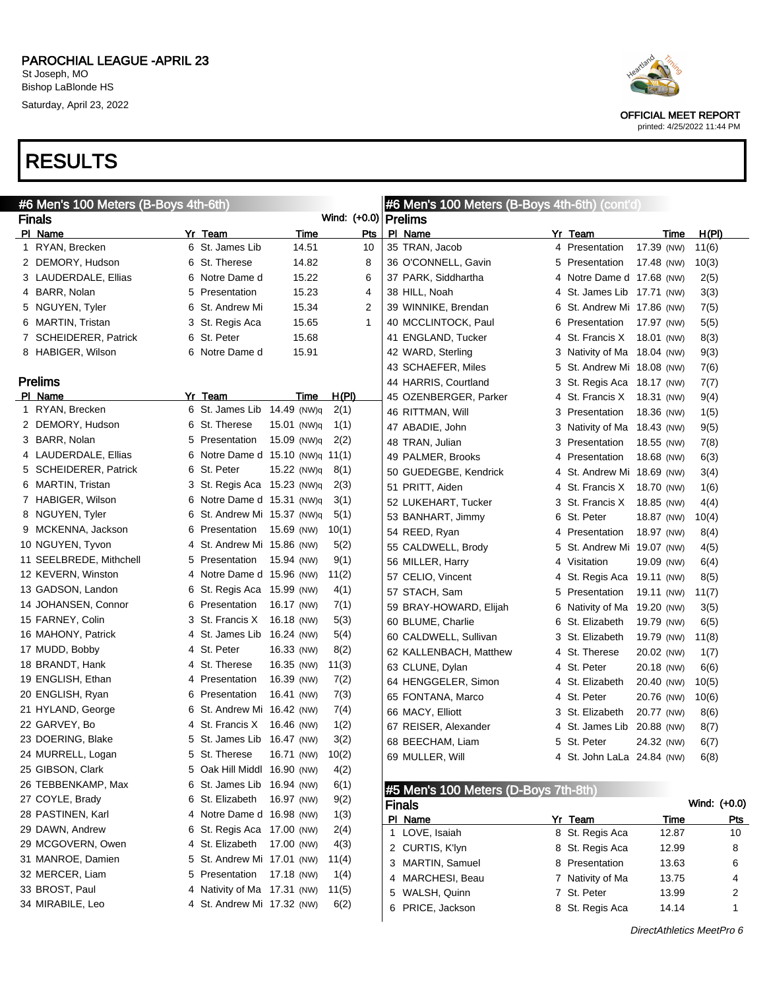



OFFICIAL MEET REPORT printed: 4/25/2022 11:44 PM

DirectAthletics MeetPro 6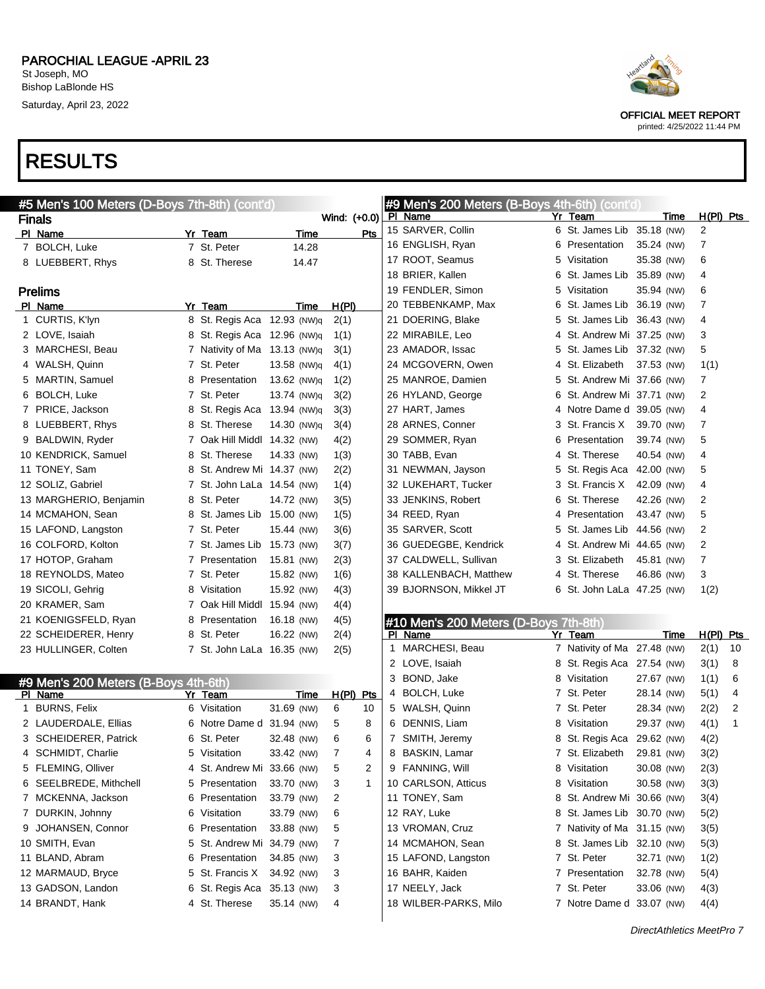



OFFICIAL MEET REPORT printed: 4/25/2022 11:44 PM

| #5 Men's 100 Meters (D-Boys 7th-8th) (cont'd)   |                              |             |                              | #9 Men's 200 Meters (B-Boys 4th-6th) (cont'd) |                             |                          |                      |
|-------------------------------------------------|------------------------------|-------------|------------------------------|-----------------------------------------------|-----------------------------|--------------------------|----------------------|
| <b>Finals</b>                                   |                              |             | Wind: (+0.0) PI Name         |                                               | Yr Team                     | Time                     | $H(PI)$ Pts          |
| PI Name                                         | Yr Team                      | Time        | Pts                          | 15 SARVER, Collin                             | 6 St. James Lib 35.18 (NW)  |                          | 2                    |
| 7 BOLCH, Luke                                   | 7 St. Peter                  | 14.28       |                              | 16 ENGLISH, Ryan                              | 6 Presentation              | 35.24 (NW)               | 7                    |
| 8 LUEBBERT, Rhys                                | 8 St. Therese                | 14.47       |                              | 17 ROOT, Seamus                               | 5 Visitation                | 35.38 (NW)               | 6                    |
|                                                 |                              |             |                              | 18 BRIER, Kallen                              | 6 St. James Lib 35.89 (NW)  |                          | 4                    |
| <b>Prelims</b>                                  |                              |             |                              | 19 FENDLER, Simon                             | 5 Visitation                | 35.94 (NW)               | 6                    |
| PI Name                                         | Yr Team                      | Time        | H(PI)                        | 20 TEBBENKAMP, Max                            | 6 St. James Lib 36.19 (NW)  |                          | 7                    |
| 1 CURTIS, K'lyn                                 | 8 St. Regis Aca 12.93 (NW)q  |             | 2(1)                         | 21 DOERING, Blake                             | 5 St. James Lib 36.43 (NW)  |                          | 4                    |
| 2 LOVE, Isaiah                                  | 8 St. Regis Aca 12.96 (NW)q  |             | 1(1)                         | 22 MIRABILE, Leo                              | 4 St. Andrew Mi 37.25 (NW)  |                          | 3                    |
| 3 MARCHESI, Beau                                | 7 Nativity of Ma 13.13 (NW)q |             | 3(1)                         | 23 AMADOR, Issac                              | 5 St. James Lib 37.32 (NW)  |                          | 5                    |
| 4 WALSH, Quinn                                  | 7 St. Peter                  | 13.58 (NW)q | 4(1)                         | 24 MCGOVERN, Owen                             | 4 St. Elizabeth             | 37.53 (NW)               | 1(1)                 |
| 5 MARTIN, Samuel                                | 8 Presentation               | 13.62 (NW)q | 1(2)                         | 25 MANROE, Damien                             | 5 St. Andrew Mi 37.66 (NW)  |                          | 7                    |
| 6 BOLCH, Luke                                   | 7 St. Peter                  | 13.74 (NW)q | 3(2)                         | 26 HYLAND, George                             | 6 St. Andrew Mi 37.71 (NW)  |                          | 2                    |
| 7 PRICE, Jackson                                | 8 St. Regis Aca 13.94 (NW)q  |             | 3(3)                         | 27 HART, James                                | 4 Notre Dame d 39.05 (NW)   |                          | 4                    |
| 8 LUEBBERT, Rhys                                | 8 St. Therese                | 14.30 (NW)q | 3(4)                         | 28 ARNES, Conner                              | 3 St. Francis X             | 39.70 (NW)               | 7                    |
| 9 BALDWIN, Ryder                                | 7 Oak Hill Middl 14.32 (NW)  |             | 4(2)                         | 29 SOMMER, Ryan                               | 6 Presentation              | 39.74 (NW)               | 5                    |
| 10 KENDRICK, Samuel                             | 8 St. Therese                | 14.33 (NW)  | 1(3)                         | 30 TABB, Evan                                 | 4 St. Therese               | 40.54 (NW)               | 4                    |
| 11 TONEY, Sam                                   | 8 St. Andrew Mi 14.37 (NW)   |             | 2(2)                         | 31 NEWMAN, Jayson                             | 5 St. Regis Aca 42.00 (NW)  |                          | 5                    |
| 12 SOLIZ, Gabriel                               | 7 St. John LaLa 14.54 (NW)   |             | 1(4)                         | 32 LUKEHART, Tucker                           | 3 St. Francis X             | 42.09 (NW)               | 4                    |
| 13 MARGHERIO, Benjamin                          | 8 St. Peter                  | 14.72 (NW)  | 3(5)                         | 33 JENKINS, Robert                            | 6 St. Therese               | 42.26 (NW)               | 2                    |
| 14 MCMAHON, Sean                                | 8 St. James Lib 15.00 (NW)   |             | 1(5)                         | 34 REED, Ryan                                 | 4 Presentation              | 43.47 (NW)               | 5                    |
| 15 LAFOND, Langston                             | 7 St. Peter                  | 15.44 (NW)  | 3(6)                         | 35 SARVER, Scott                              | 5 St. James Lib 44.56 (NW)  |                          | $\overline{c}$       |
| 16 COLFORD, Kolton                              | 7 St. James Lib 15.73 (NW)   |             | 3(7)                         | 36 GUEDEGBE, Kendrick                         | 4 St. Andrew Mi 44.65 (NW)  |                          | 2                    |
| 17 HOTOP, Graham                                | 7 Presentation               | 15.81 (NW)  | 2(3)                         | 37 CALDWELL, Sullivan                         | 3 St. Elizabeth             | 45.81 (NW)               | $\overline{7}$       |
| 18 REYNOLDS, Mateo                              | 7 St. Peter                  | 15.82 (NW)  | 1(6)                         | 38 KALLENBACH, Matthew                        | 4 St. Therese               | 46.86 (NW)               | 3                    |
| 19 SICOLI, Gehrig                               | 8 Visitation                 | 15.92 (NW)  | 4(3)                         | 39 BJORNSON, Mikkel JT                        | 6 St. John LaLa 47.25 (NW)  |                          | 1(2)                 |
| 20 KRAMER, Sam                                  | 7 Oak Hill Middl 15.94 (NW)  |             | 4(4)                         |                                               |                             |                          |                      |
| 21 KOENIGSFELD, Ryan                            | 8 Presentation               | 16.18 (NW)  | 4(5)                         | #10 Men's 200 Meters (D-Boys 7th-8th)         |                             |                          |                      |
| 22 SCHEIDERER, Henry                            | 8 St. Peter                  | 16.22 (NW)  | 2(4)                         | PI Name                                       | Yr Team                     | Time                     | $H(PI)$ Pts          |
| 23 HULLINGER, Colten                            | 7 St. John LaLa 16.35 (NW)   |             | 2(5)                         | 1 MARCHESI, Beau                              | 7 Nativity of Ma 27.48 (NW) |                          | 2(1)<br>10           |
|                                                 |                              |             |                              | 2 LOVE, Isaiah                                | 8 St. Regis Aca 27.54 (NW)  |                          | 3(1)<br>8            |
|                                                 |                              |             |                              | 3 BOND, Jake                                  | 8 Visitation                | 27.67 (NW)               | 1(1)<br>6            |
| #9 Men's 200 Meters (B-Boys 4th-6th)<br>PI Name | Yr Team                      | <u>Time</u> | $H(PI)$ Pts                  | 4 BOLCH, Luke                                 | 7 St. Peter                 | 28.14 (NW)               | 5(1)<br>4            |
| 1 BURNS, Felix                                  | 6 Visitation                 | 31.69 (NW)  | 6<br>10                      | 5 WALSH, Quinn                                | 7 St. Peter                 | 28.34 (NW)               | 2(2)<br>2            |
| 2 LAUDERDALE, Ellias                            | 6 Notre Dame d 31.94 (NW)    |             | 5<br>8                       | 6 DENNIS, Liam                                | 8 Visitation                | 29.37 (NW)               | 4(1)<br>$\mathbf{1}$ |
| 3 SCHEIDERER, Patrick                           | 6 St. Peter                  | 32.48 (NW)  | 6<br>6                       | 7 SMITH, Jeremy                               | 8 St. Regis Aca 29.62 (NW)  |                          | 4(2)                 |
| SCHMIDT, Charlie                                | 5 Visitation                 | 33.42 (NW)  | $\overline{\mathbf{7}}$<br>4 | 8 BASKIN, Lamar                               | 7 St. Elizabeth 29.81 (NW)  |                          | 3(2)                 |
| 5 FLEMING, Olliver                              | 4 St. Andrew Mi 33.66 (NW)   |             | 2<br>5                       | 9 FANNING, Will                               | 8 Visitation                | 30.08 (NW)               | 2(3)                 |
| 6 SEELBREDE, Mithchell                          | 5 Presentation               | 33.70 (NW)  | $\mathbf{1}$<br>3            | 10 CARLSON, Atticus                           | 8 Visitation                | 30.58 (NW)               | 3(3)                 |
| 7 MCKENNA, Jackson                              | 6 Presentation               | 33.79 (NW)  | 2                            | 11 TONEY, Sam                                 | 8 St. Andrew Mi 30.66 (NW)  |                          | 3(4)                 |
| 7 DURKIN, Johnny                                | 6 Visitation                 | 33.79 (NW)  | 6                            | 12 RAY, Luke                                  | 8 St. James Lib 30.70 (NW)  |                          | 5(2)                 |
| 9 JOHANSEN, Connor                              | 6 Presentation               | 33.88 (NW)  | 5                            | 13 VROMAN, Cruz                               | 7 Nativity of Ma 31.15 (NW) |                          | 3(5)                 |
| 10 SMITH, Evan                                  | 5 St. Andrew Mi 34.79 (NW)   |             | 7                            | 14 MCMAHON, Sean                              | 8 St. James Lib 32.10 (NW)  |                          | 5(3)                 |
| 11 BLAND, Abram                                 | 6 Presentation               | 34.85 (NW)  | 3                            | 15 LAFOND, Langston                           | 7 St. Peter                 | 32.71 (NW)               | 1(2)                 |
| 12 MARMAUD, Bryce                               | 5 St. Francis X              | 34.92 (NW)  |                              | 16 BAHR, Kaiden                               | 7 Presentation              |                          |                      |
| 13 GADSON, Landon                               | 6 St. Regis Aca              | 35.13 (NW)  | 3                            | 17 NEELY, Jack                                | 7 St. Peter                 | 32.78 (NW)<br>33.06 (NW) | 5(4)                 |
|                                                 |                              | 35.14 (NW)  | 3                            |                                               | 7 Notre Dame d 33.07 (NW)   |                          | 4(3)                 |
| 14 BRANDT, Hank                                 | 4 St. Therese                |             | 4                            | 18 WILBER-PARKS, Milo                         |                             |                          | 4(4)                 |
|                                                 |                              |             |                              |                                               |                             |                          |                      |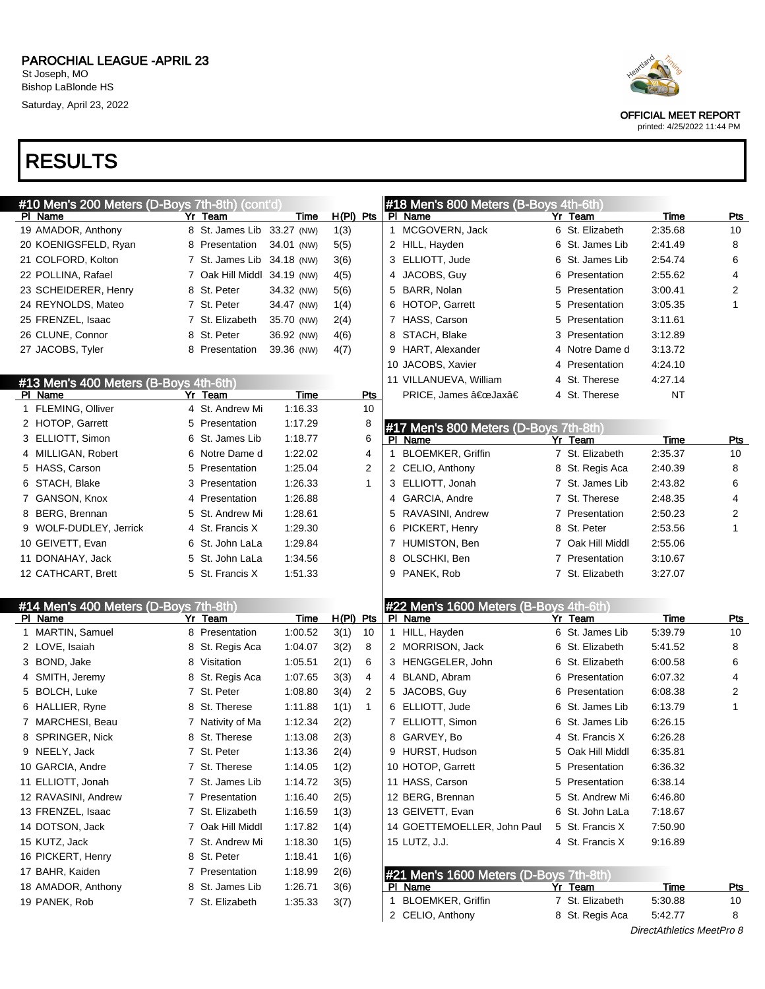| #10 Men's 200 Meters (D-Boys 7th-8th) (cont'd)   |    |                             |            |             |              |             | #18 Men's 800 Meters (B-Boys 4th-6th)             |    |                  |             |                |
|--------------------------------------------------|----|-----------------------------|------------|-------------|--------------|-------------|---------------------------------------------------|----|------------------|-------------|----------------|
| PI Name                                          | Yr | Team                        | Time       | $H(PI)$ Pts |              |             | PI Name                                           |    | Yr Team          | Time        | <b>Pts</b>     |
| 19 AMADOR, Anthony                               |    | 8 St. James Lib 33.27 (NW)  |            | 1(3)        |              |             | 1 MCGOVERN, Jack                                  |    | 6 St. Elizabeth  | 2:35.68     | 10             |
| 20 KOENIGSFELD, Ryan                             |    | 8 Presentation              | 34.01 (NW) | 5(5)        |              |             | 2 HILL, Hayden                                    |    | 6 St. James Lib  | 2:41.49     | 8              |
| 21 COLFORD, Kolton                               |    | 7 St. James Lib             | 34.18 (NW) | 3(6)        |              |             | 3 ELLIOTT, Jude                                   |    | 6 St. James Lib  | 2:54.74     | 6              |
| 22 POLLINA, Rafael                               |    | 7 Oak Hill Middl 34.19 (NW) |            | 4(5)        |              |             | 4 JACOBS, Guy                                     |    | 6 Presentation   | 2:55.62     | 4              |
| 23 SCHEIDERER, Henry                             |    | 8 St. Peter                 | 34.32 (NW) | 5(6)        |              |             | 5 BARR, Nolan                                     | 5. | Presentation     | 3:00.41     | $\overline{c}$ |
| 24 REYNOLDS, Mateo                               |    | 7 St. Peter                 | 34.47 (NW) | 1(4)        |              |             | 6 HOTOP, Garrett                                  | 5  | Presentation     | 3:05.35     | 1              |
| 25 FRENZEL, Isaac                                |    | 7 St. Elizabeth             | 35.70 (NW) | 2(4)        |              |             | 7 HASS, Carson                                    | 5. | Presentation     | 3:11.61     |                |
| 26 CLUNE, Connor                                 |    | 8 St. Peter                 | 36.92 (NW) | 4(6)        |              | 8           | STACH, Blake                                      |    | 3 Presentation   | 3:12.89     |                |
| 27 JACOBS, Tyler                                 |    | 8 Presentation              | 39.36 (NW) | 4(7)        |              |             | 9 HART, Alexander                                 |    | 4 Notre Dame d   | 3:13.72     |                |
|                                                  |    |                             |            |             |              |             | 10 JACOBS, Xavier                                 |    | 4 Presentation   | 4:24.10     |                |
| #13 Men's 400 Meters (B-Boys 4th-6th)            |    |                             |            |             |              |             | 11 VILLANUEVA, William                            |    | 4 St. Therese    | 4:27.14     |                |
| PI Name                                          |    | Yr Team                     | Time       |             | <b>Pts</b>   |             | PRICE, James "Jaxâ€                               |    | 4 St. Therese    | <b>NT</b>   |                |
| 1 FLEMING, Olliver                               |    | 4 St. Andrew Mi             | 1:16.33    |             | 10           |             |                                                   |    |                  |             |                |
| 2 HOTOP, Garrett                                 |    | 5 Presentation              | 1:17.29    |             | 8            |             | #17 Men's 800 Meters (D-Boys 7th-8th)             |    |                  |             |                |
| 3 ELLIOTT, Simon                                 |    | 6 St. James Lib             | 1:18.77    |             | 6            |             | PI Name                                           |    | Yr Team          | Time        | <b>Pts</b>     |
| 4 MILLIGAN, Robert                               |    | 6 Notre Dame d              | 1:22.02    |             | 4            | $\mathbf 1$ | <b>BLOEMKER, Griffin</b>                          |    | 7 St. Elizabeth  | 2:35.37     | 10             |
| 5 HASS, Carson                                   |    | 5 Presentation              | 1:25.04    |             | 2            |             | 2 CELIO, Anthony                                  |    | 8 St. Regis Aca  | 2:40.39     | 8              |
| 6 STACH, Blake                                   |    | 3 Presentation              | 1:26.33    |             | 1            |             | 3 ELLIOTT, Jonah                                  |    | 7 St. James Lib  | 2:43.82     | 6              |
| 7 GANSON, Knox                                   |    | 4 Presentation              | 1:26.88    |             |              |             | 4 GARCIA, Andre                                   |    | 7 St. Therese    | 2:48.35     | 4              |
| 8 BERG, Brennan                                  |    | 5 St. Andrew Mi             | 1:28.61    |             |              |             | 5 RAVASINI, Andrew                                |    | 7 Presentation   | 2:50.23     | $\overline{2}$ |
| 9 WOLF-DUDLEY, Jerrick                           |    | 4 St. Francis X             | 1:29.30    |             |              |             | 6 PICKERT, Henry                                  |    | 8 St. Peter      | 2:53.56     | 1              |
| 10 GEIVETT, Evan                                 |    | 6 St. John LaLa             | 1:29.84    |             |              |             | 7 HUMISTON, Ben                                   |    | 7 Oak Hill Middl | 2:55.06     |                |
| 11 DONAHAY, Jack                                 |    | 5 St. John LaLa             | 1:34.56    |             |              | 8           | OLSCHKI, Ben                                      |    | 7 Presentation   | 3:10.67     |                |
| 12 CATHCART, Brett                               |    | 5 St. Francis X             | 1:51.33    |             |              |             | 9 PANEK, Rob                                      |    | 7 St. Elizabeth  | 3:27.07     |                |
|                                                  |    |                             |            |             |              |             |                                                   |    |                  |             |                |
|                                                  |    |                             |            |             |              |             |                                                   |    |                  |             |                |
| #14 Men's 400 Meters (D-Boys 7th-8th)<br>PI Name |    | Yr Team                     | Time       | $H(PI)$ Pts |              |             | #22 Men's 1600 Meters (B-Boys 4th-6th)<br>PI Name |    | Yr Team          | Time        | Pts            |
| MARTIN, Samuel                                   |    | 8 Presentation              | 1:00.52    | 3(1)        | 10           |             | 1 HILL, Hayden                                    |    | 6 St. James Lib  | 5:39.79     | 10             |
| 2 LOVE, Isaiah                                   |    | 8 St. Regis Aca             | 1:04.07    | 3(2)        | 8            |             | 2 MORRISON, Jack                                  |    | 6 St. Elizabeth  | 5:41.52     | 8              |
| 3 BOND, Jake                                     |    | 8 Visitation                | 1:05.51    | 2(1)        | 6            |             | 3 HENGGELER, John                                 |    | 6 St. Elizabeth  | 6:00.58     | 6              |
| 4 SMITH, Jeremy                                  |    | 8 St. Regis Aca             | 1:07.65    | 3(3)        | 4            |             | 4 BLAND, Abram                                    |    | 6 Presentation   | 6:07.32     | 4              |
| 5 BOLCH, Luke                                    |    | 7 St. Peter                 | 1:08.80    | 3(4)        | 2            |             | 5 JACOBS, Guy                                     |    | 6 Presentation   | 6:08.38     | 2              |
| 6 HALLIER, Ryne                                  |    | 8 St. Therese               | 1:11.88    | 1(1)        | $\mathbf{1}$ |             | 6 ELLIOTT, Jude                                   |    | 6 St. James Lib  | 6:13.79     | 1              |
|                                                  |    |                             |            |             |              |             |                                                   |    |                  |             |                |
| 7 MARCHESI, Beau                                 |    | 7 Nativity of Ma            | 1:12.34    | 2(2)        |              |             | 7 ELLIOTT, Simon                                  |    | 6 St. James Lib  | 6:26.15     |                |
| 8 SPRINGER, Nick                                 |    | 8 St. Therese               | 1:13.08    | 2(3)        |              | 8           | GARVEY, Bo                                        |    | 4 St. Francis X  | 6:26.28     |                |
| 9 NEELY, Jack                                    |    | 7 St. Peter                 | 1:13.36    | 2(4)        |              | 9           | HURST, Hudson                                     |    | 5 Oak Hill Middl | 6:35.81     |                |
| 10 GARCIA, Andre                                 |    | 7 St. Therese               | 1:14.05    | 1(2)        |              |             | 10 HOTOP, Garrett                                 |    | 5 Presentation   | 6:36.32     |                |
| 11 ELLIOTT, Jonah                                |    | 7 St. James Lib             | 1:14.72    | 3(5)        |              |             | 11 HASS, Carson                                   |    | 5 Presentation   | 6:38.14     |                |
| 12 RAVASINI, Andrew                              |    | 7 Presentation              | 1:16.40    | 2(5)        |              |             | 12 BERG, Brennan                                  |    | 5 St. Andrew Mi  | 6:46.80     |                |
| 13 FRENZEL, Isaac                                |    | 7 St. Elizabeth             | 1:16.59    | 1(3)        |              |             | 13 GEIVETT, Evan                                  |    | 6 St. John LaLa  | 7:18.67     |                |
| 14 DOTSON, Jack                                  |    | 7 Oak Hill Middl            | 1:17.82    | 1(4)        |              |             | 14 GOETTEMOELLER, John Paul                       |    | 5 St. Francis X  | 7:50.90     |                |
| 15 KUTZ, Jack                                    |    | 7 St. Andrew Mi             | 1:18.30    | 1(5)        |              |             | 15 LUTZ, J.J.                                     |    | 4 St. Francis X  | 9:16.89     |                |
| 16 PICKERT, Henry                                |    | 8 St. Peter                 | 1:18.41    | 1(6)        |              |             |                                                   |    |                  |             |                |
| 17 BAHR, Kaiden                                  |    | 7 Presentation              | 1:18.99    | 2(6)        |              |             | #21 Men's 1600 Meters (D-Boys 7th-8th)            |    |                  |             |                |
| 18 AMADOR, Anthony                               |    | 8 St. James Lib             | 1:26.71    | 3(6)        |              |             | PI Name                                           |    | Yr Team          | <u>Time</u> | <u>Pts</u>     |
| 19 PANEK, Rob                                    |    | 7 St. Elizabeth             | 1:35.33    | 3(7)        |              | 1.          | <b>BLOEMKER, Griffin</b>                          |    | 7 St. Elizabeth  | 5:30.88     | 10             |

2 CELIO, Anthony 8 St. Regis Aca 5:42.77 8



OFFICIAL MEET REPORT

printed: 4/25/2022 11:44 PM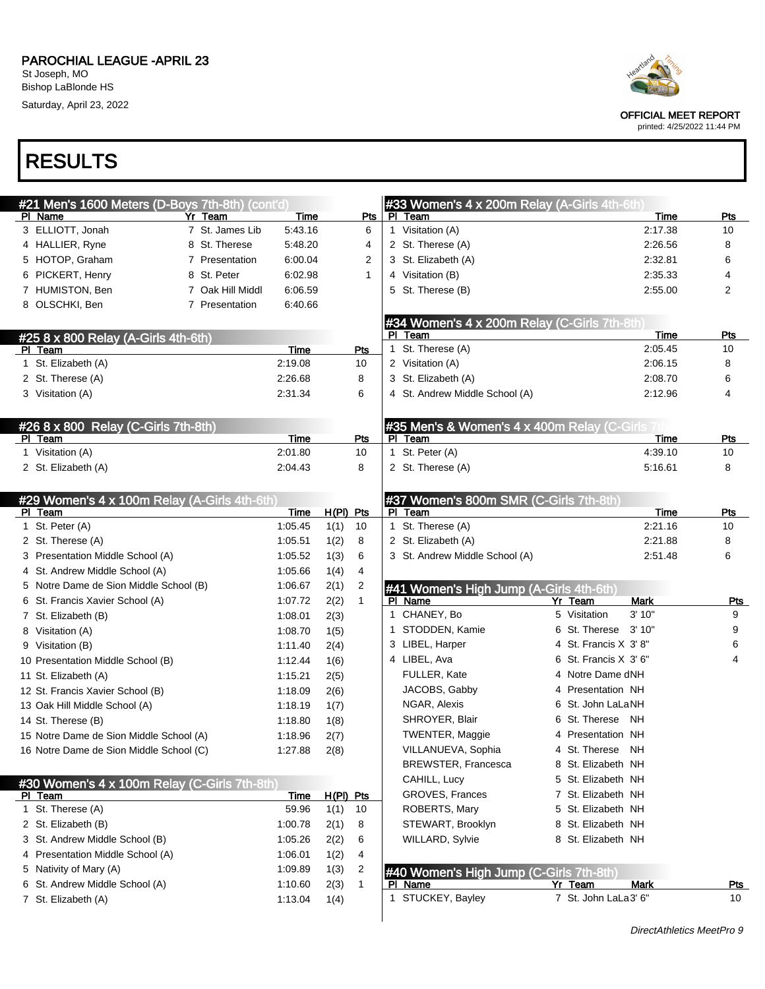

OFFICIAL MEET REPORT

printed: 4/25/2022 11:44 PM

| #21 Men's 1600 Meters (D-Boys 7th-8th) (cont'd)       |                    |              |              |              | #33 Women's 4 x 200m Relay (A-Girls 4th-6th)       |                                           |                      |            |
|-------------------------------------------------------|--------------------|--------------|--------------|--------------|----------------------------------------------------|-------------------------------------------|----------------------|------------|
| PI Name<br>Yr Team                                    | Time               |              | Pts          |              | PI Team                                            |                                           | Time                 | Pts        |
| 3 ELLIOTT, Jonah<br>7 St. James Lib                   | 5:43.16            |              | 6            |              | 1 Visitation (A)                                   |                                           | 2:17.38              | 10         |
| 4 HALLIER, Ryne<br>8 St. Therese                      | 5:48.20            |              | 4            |              | 2 St. Therese (A)                                  |                                           | 2:26.56              | 8          |
| 5 HOTOP, Graham<br>7 Presentation                     | 6:00.04            |              | 2            |              | 3 St. Elizabeth (A)                                |                                           | 2:32.81              | 6          |
| 6 PICKERT, Henry<br>8 St. Peter                       | 6:02.98            |              | $\mathbf{1}$ |              | 4 Visitation (B)                                   |                                           | 2:35.33              | 4          |
| 7 HUMISTON, Ben<br>7 Oak Hill Middl                   | 6:06.59            |              |              |              | 5 St. Therese (B)                                  |                                           | 2:55.00              | 2          |
| 8 OLSCHKI, Ben<br>7 Presentation                      | 6:40.66            |              |              |              |                                                    |                                           |                      |            |
|                                                       |                    |              |              |              | #34 Women's 4 x 200m Relay (C-Girls 7th-8th)       |                                           |                      |            |
| #25 8 x 800 Relay (A-Girls 4th-6th)                   |                    |              |              |              | PI Team                                            |                                           | Time                 | <b>Pts</b> |
| PI Team                                               | Time               |              | Pts          | 1            | St. Therese (A)                                    |                                           | 2:05.45              | 10         |
| 1 St. Elizabeth (A)                                   | 2:19.08            |              | 10           |              | 2 Visitation (A)                                   |                                           | 2:06.15              | 8          |
| 2 St. Therese (A)                                     | 2:26.68            |              | 8            |              | 3 St. Elizabeth (A)                                |                                           | 2:08.70              | 6          |
| 3 Visitation (A)                                      | 2:31.34            |              | 6            |              | 4 St. Andrew Middle School (A)                     |                                           | 2:12.96              | 4          |
| #26 8 x 800 Relay (C-Girls 7th-8th)                   |                    |              |              |              | #35 Men's & Women's 4 x 400m Relay (C-Girls 7th    |                                           |                      |            |
| PI Team                                               | Time               |              | Pts          | PI.          | Team                                               |                                           | Time                 | Pts        |
| 1 Visitation (A)                                      | 2:01.80            |              | 10           |              | 1 St. Peter (A)                                    |                                           | 4:39.10              | 10         |
| 2 St. Elizabeth (A)                                   | 2:04.43            |              | 8            |              | 2 St. Therese (A)                                  |                                           | 5:16.61              | 8          |
|                                                       |                    |              |              |              |                                                    |                                           |                      |            |
| #29 Women's 4 x 100m Relay (A-Girls 4th-6th)          |                    |              |              |              | #37 Women's 800m SMR (C-Girls 7th-8th)             |                                           |                      |            |
| PI Team                                               | Time               | $H(PI)$ Pts  |              |              | PI Team                                            |                                           | Time                 | Pts        |
| 1 St. Peter (A)                                       | 1:05.45            | 1(1)         | 10           |              | 1 St. Therese (A)                                  |                                           | 2:21.16              | 10         |
| 2 St. Therese (A)                                     | 1:05.51            | 1(2)         | 8            |              | 2 St. Elizabeth (A)                                |                                           | 2:21.88              | 8          |
| 3 Presentation Middle School (A)                      | 1:05.52            | 1(3)         | 6            |              | 3 St. Andrew Middle School (A)                     |                                           | 2:51.48              | 6          |
| 4 St. Andrew Middle School (A)                        | 1:05.66            | 1(4)         | 4            |              |                                                    |                                           |                      |            |
| 5 Notre Dame de Sion Middle School (B)                | 1:06.67            | 2(1)         | 2            |              | #41 Women's High Jump (A-Girls 4th-6th)            |                                           |                      |            |
| 6 St. Francis Xavier School (A)                       | 1:07.72            | 2(2)         | $\mathbf{1}$ |              | PI Name                                            | Yr Team                                   | <b>Mark</b><br>3'10" | <b>Pts</b> |
| 7 St. Elizabeth (B)                                   | 1:08.01            | 2(3)         |              | $\mathbf{1}$ | CHANEY, Bo                                         | 5 Visitation                              |                      | 9          |
| 8 Visitation (A)                                      | 1:08.70            | 1(5)         |              | 1            | STODDEN, Kamie                                     | 6 St. Therese                             | 3'10"                | 9          |
| 9 Visitation (B)                                      | 1:11.40            | 2(4)         |              |              | 3 LIBEL, Harper                                    | 4 St. Francis X 3'8"                      |                      | 6          |
| 10 Presentation Middle School (B)                     | 1:12.44            | 1(6)         |              |              | 4 LIBEL, Ava                                       | 6 St. Francis X 3' 6"<br>4 Notre Dame dNH |                      | 4          |
| 11 St. Elizabeth (A)                                  | 1:15.21            | 2(5)         |              |              | FULLER, Kate                                       |                                           |                      |            |
| 12 St. Francis Xavier School (B)                      | 1:18.09            | 2(6)         |              |              | JACOBS, Gabby                                      | 4 Presentation NH<br>6 St. John LaLaNH    |                      |            |
| 13 Oak Hill Middle School (A)                         | 1:18.19            | 1(7)         |              |              | NGAR, Alexis                                       | 6 St. Therese                             |                      |            |
| 14 St. Therese (B)                                    | 1:18.80            | 1(8)         |              |              | SHROYER, Blair                                     |                                           | NH                   |            |
| 15 Notre Dame de Sion Middle School (A)               | 1:18.96            | 2(7)         |              |              | TWENTER, Maggie                                    | 4 Presentation NH                         |                      |            |
| 16 Notre Dame de Sion Middle School (C)               | 1:27.88            | 2(8)         |              |              | VILLANUEVA, Sophia                                 | 4 St. Therese NH<br>8 St. Elizabeth NH    |                      |            |
|                                                       |                    |              |              |              | <b>BREWSTER, Francesca</b><br>CAHILL, Lucy         | 5 St. Elizabeth NH                        |                      |            |
| #30 Women's 4 x 100m Relay (C-Girls 7th-8th)          |                    |              |              |              |                                                    | 7 St. Elizabeth NH                        |                      |            |
| PI Team<br>1 St. Therese (A)                          | <b>Time</b>        | $H(PI)$ Pts  |              |              | GROVES, Frances<br>ROBERTS, Mary                   | 5 St. Elizabeth NH                        |                      |            |
|                                                       | 59.96              | 1(1)         | 10           |              | STEWART, Brooklyn                                  |                                           |                      |            |
| 2 St. Elizabeth (B)<br>3 St. Andrew Middle School (B) | 1:00.78<br>1:05.26 | 2(1)         | 8            |              | WILLARD, Sylvie                                    | 8 St. Elizabeth NH<br>8 St. Elizabeth NH  |                      |            |
| 4 Presentation Middle School (A)                      | 1:06.01            | 2(2)         | 6<br>4       |              |                                                    |                                           |                      |            |
| 5 Nativity of Mary (A)                                | 1:09.89            | 1(2)<br>1(3) | 2            |              |                                                    |                                           |                      |            |
| 6 St. Andrew Middle School (A)                        | 1:10.60            | 2(3)         | $\mathbf{1}$ |              | #40 Women's High Jump (C-Girls 7th-8th)<br>PI Name | Yr Team                                   | Mark                 | <u>Pts</u> |
| 7 St. Elizabeth (A)                                   | 1:13.04            | 1(4)         |              |              | 1 STUCKEY, Bayley                                  | 7 St. John LaLa3' 6"                      |                      | 10         |
|                                                       |                    |              |              |              |                                                    |                                           |                      |            |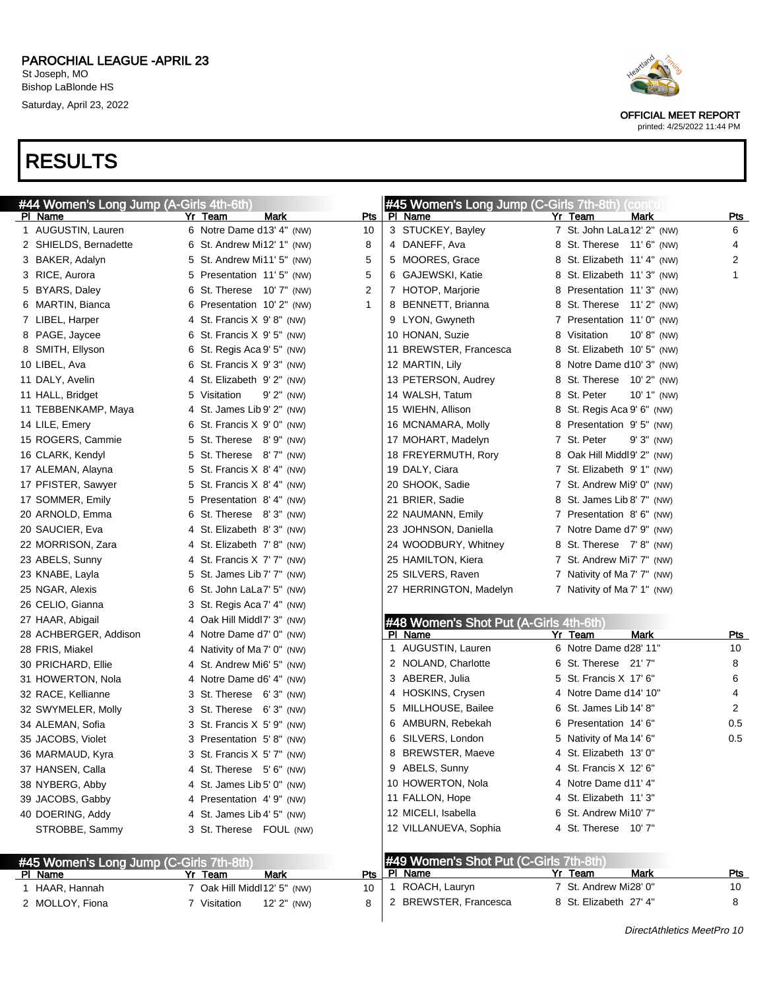

OFFICIAL MEET REPORT printed: 4/25/2022 11:44 PM

| #44 Women's Long Jump (A-Girls 4th-6th)            |                                 |     | #45 Women's Long Jump (C-Girls 7th-8th) (cont'd |                                |            |
|----------------------------------------------------|---------------------------------|-----|-------------------------------------------------|--------------------------------|------------|
| PI Name                                            | Yr Team<br><b>Mark</b>          | Pts | PI Name                                         | Yr Team<br>Mark                | <u>Pts</u> |
| 1 AUGUSTIN, Lauren                                 | 6 Notre Dame d13' 4" (NW)       | 10  | 3 STUCKEY, Bayley                               | 7 St. John LaLa12' 2" (NW)     | 6          |
| 2 SHIELDS, Bernadette                              | 6 St. Andrew Mi12' 1" (NW)      | 8   | 4 DANEFF, Ava                                   | 8 St. Therese 11' 6" (NW)      | 4          |
| 3 BAKER, Adalyn                                    | 5 St. Andrew Mi11' 5" (NW)      | 5   | 5 MOORES, Grace                                 | 8 St. Elizabeth 11' 4" (NW)    | 2          |
| 3 RICE, Aurora                                     | Presentation 11'5" (NW)<br>5    | 5   | 6 GAJEWSKI, Katie                               | 8 St. Elizabeth 11' 3" (NW)    | 1          |
| 5 BYARS, Daley                                     | St. Therese 10' 7" (NW)<br>6    | 2   | 7 HOTOP, Marjorie                               | 8 Presentation 11'3" (NW)      |            |
| 6 MARTIN, Bianca                                   | Presentation 10' 2" (NW)<br>6   | 1   | 8 BENNETT, Brianna                              | 8 St. Therese 11' 2" (NW)      |            |
| 7 LIBEL, Harper                                    | 4 St. Francis X 9'8" (NW)       |     | 9 LYON, Gwyneth                                 | 7 Presentation 11'0" (NW)      |            |
| 8 PAGE, Jaycee                                     | 6 St. Francis X 9' 5" (NW)      |     | 10 HONAN, Suzie                                 | 8 Visitation<br>$10' 8''$ (NW) |            |
| 8 SMITH, Ellyson                                   | 6 St. Regis Aca 9' 5" (NW)      |     | 11 BREWSTER, Francesca                          | 8 St. Elizabeth 10' 5" (NW)    |            |
| 10 LIBEL, Ava                                      | 6 St. Francis X 9' 3" (NW)      |     | 12 MARTIN, Lily                                 | 8 Notre Dame d10' 3" (NW)      |            |
| 11 DALY, Avelin                                    | 4 St. Elizabeth 9' 2" (NW)      |     | 13 PETERSON, Audrey                             | 8 St. Therese 10' 2" (NW)      |            |
| 11 HALL, Bridget                                   | 5 Visitation<br>$9'$ $2''$ (NW) |     | 14 WALSH, Tatum                                 | 8 St. Peter<br>$10' 1''$ (NW)  |            |
| 11 TEBBENKAMP, Maya                                | 4 St. James Lib 9' 2" (NW)      |     | 15 WIEHN, Allison                               | 8 St. Regis Aca 9' 6" (NW)     |            |
| 14 LILE, Emery                                     | 6 St. Francis X 9' 0" (NW)      |     | 16 MCNAMARA, Molly                              | 8 Presentation 9'5" (NW)       |            |
| 15 ROGERS, Cammie                                  | 5 St. Therese 8'9" (NW)         |     | 17 MOHART, Madelyn                              | 7 St. Peter<br>$9'3''$ (NW)    |            |
| 16 CLARK, Kendyl                                   | St. Therese 8'7" (NW)<br>5      |     | 18 FREYERMUTH, Rory                             | 8 Oak Hill Middl9' 2" (NW)     |            |
| 17 ALEMAN, Alayna                                  | 5 St. Francis X 8' 4" (NW)      |     | 19 DALY, Ciara                                  | 7 St. Elizabeth 9' 1" (NW)     |            |
| 17 PFISTER, Sawyer                                 | 5 St. Francis X 8' 4" (NW)      |     | 20 SHOOK, Sadie                                 | 7 St. Andrew Mi9' 0" (NW)      |            |
| 17 SOMMER, Emily                                   | Presentation 8' 4" (NW)<br>5    |     | 21 BRIER, Sadie                                 | 8 St. James Lib 8' 7" (NW)     |            |
| 20 ARNOLD, Emma                                    | 6 St. Therese 8'3" (NW)         |     | 22 NAUMANN, Emily                               | 7 Presentation 8'6" (NW)       |            |
| 20 SAUCIER, Eva                                    | 4 St. Elizabeth 8' 3" (NW)      |     | 23 JOHNSON, Daniella                            | 7 Notre Dame d7' 9" (NW)       |            |
| 22 MORRISON, Zara                                  | 4 St. Elizabeth 7'8" (NW)       |     | 24 WOODBURY, Whitney                            | 8 St. Therese 7'8" (NW)        |            |
| 23 ABELS, Sunny                                    | 4 St. Francis X 7' 7" (NW)      |     | 25 HAMILTON, Kiera                              | 7 St. Andrew Mi7' 7" (NW)      |            |
| 23 KNABE, Layla                                    | 5 St. James Lib 7' 7" (NW)      |     | 25 SILVERS, Raven                               | 7 Nativity of Ma 7' 7" (NW)    |            |
| 25 NGAR, Alexis                                    | St. John LaLa7' 5" (NW)<br>6    |     | 27 HERRINGTON, Madelyn                          | 7 Nativity of Ma 7' 1" (NW)    |            |
| 26 CELIO, Gianna                                   | 3 St. Regis Aca 7' 4" (NW)      |     |                                                 |                                |            |
| 27 HAAR, Abigail                                   | Oak Hill Middl7' 3" (NW)<br>4   |     | #48 Women's Shot Put (A-Girls 4th-6th)          |                                |            |
| 28 ACHBERGER, Addison                              | 4 Notre Dame d7' 0" (NW)        |     | PI Name                                         | <b>Mark</b><br>Yr Team         | <u>Pts</u> |
| 28 FRIS, Miakel                                    | 4 Nativity of Ma 7' 0" (NW)     |     | 1 AUGUSTIN, Lauren                              | 6 Notre Dame d28' 11"          | 10         |
| 30 PRICHARD, Ellie                                 | 4 St. Andrew Mi6' 5" (NW)       |     | 2 NOLAND, Charlotte                             | 6 St. Therese 21'7"            | 8          |
| 31 HOWERTON, Nola                                  | 4 Notre Dame d6' 4" (NW)        |     | 3 ABERER, Julia                                 | 5 St. Francis X 17' 6"         | 6          |
| 32 RACE, Kellianne                                 | 3 St. Therese 6'3" (NW)         |     | 4 HOSKINS, Crysen                               | 4 Notre Dame d14' 10"          | 4          |
| 32 SWYMELER, Molly                                 | 3 St. Therese 6'3" (NW)         |     | MILLHOUSE, Bailee<br>5.                         | 6 St. James Lib 14' 8"         | 2          |
| 34 ALEMAN, Sofia                                   | 3 St. Francis $X$ 5' 9" (NW)    |     | AMBURN, Rebekah<br>6                            | 6 Presentation 14' 6"          | 0.5        |
| 35 JACOBS, Violet                                  | 3 Presentation 5'8" (NW)        |     | 6 SILVERS, London                               | 5 Nativity of Ma 14' 6"        | $0.5\,$    |
| 36 MARMAUD, Kyra                                   | 3 St. Francis X 5' 7" (NW)      |     | 8<br>BREWSTER, Maeve                            | 4 St. Elizabeth 13' 0"         |            |
| 37 HANSEN, Calla                                   | 4 St. Therese 5' 6" (NW)        |     | 9 ABELS, Sunny                                  | 4 St. Francis X 12' 6"         |            |
| 38 NYBERG, Abby                                    | 4 St. James Lib 5' 0" (NW)      |     | 10 HOWERTON, Nola                               | 4 Notre Dame d11' 4"           |            |
| 39 JACOBS, Gabby                                   | 4 Presentation 4'9" (NW)        |     | 11 FALLON, Hope                                 | 4 St. Elizabeth 11' 3"         |            |
| 40 DOERING, Addy                                   | 4 St. James Lib 4' 5" (NW)      |     | 12 MICELI, Isabella                             | 6 St. Andrew Mi10' 7"          |            |
| STROBBE, Sammy                                     | 3 St. Therese FOUL (NW)         |     | 12 VILLANUEVA, Sophia                           | 4 St. Therese 10' 7"           |            |
|                                                    |                                 |     | #49 Women's Shot Put (C-Girls 7th-8th)          |                                |            |
| #45 Women's Long Jump (C-Girls 7th-8th)<br>PI Name | <u>Mark</u><br>Yr Team          | Pts | PI Name                                         | Yr Team<br>Mark                | <u>Pts</u> |
| 1 HAAR, Hannah                                     | 7 Oak Hill Middl12' 5" (NW)     | 10  | 1 ROACH, Lauryn                                 | 7 St. Andrew Mi28' 0"          | 10         |
| 2 MOLLOY, Fiona                                    | 7 Visitation<br>12' 2" (NW)     | 8   | 2 BREWSTER, Francesca                           | 8 St. Elizabeth 27' 4"         | 8          |
|                                                    |                                 |     |                                                 |                                |            |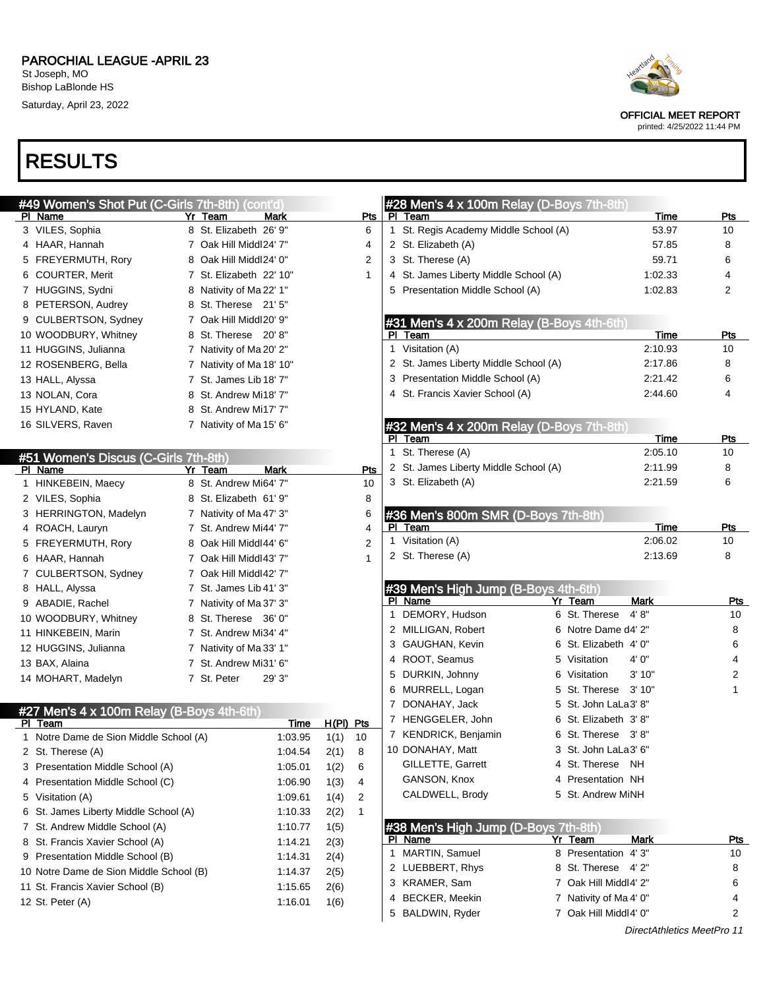| #49 Women's Shot Put (C-Girls 7th-8th) (cont'd) |                          |             |             |                |              | #28 Men's 4 x 100m Relay (D-Boys 7th-8th) |   |                        |             |            |
|-------------------------------------------------|--------------------------|-------------|-------------|----------------|--------------|-------------------------------------------|---|------------------------|-------------|------------|
| PI Name                                         | Yr Team                  | Mark        |             | Pts            |              | PI Team                                   |   |                        | Time        | Pts        |
| 3 VILES, Sophia                                 | 8 St. Elizabeth 26' 9"   |             |             | 6              | $\mathbf{1}$ | St. Regis Academy Middle School (A)       |   |                        | 53.97       | 10         |
| 4 HAAR, Hannah                                  | 7 Oak Hill Middl24' 7"   |             |             | 4              |              | 2 St. Elizabeth (A)                       |   |                        | 57.85       | 8          |
| 5 FREYERMUTH, Rory                              | 8 Oak Hill Middl24' 0"   |             |             | $\overline{2}$ |              | 3 St. Therese (A)                         |   |                        | 59.71       | 6          |
| 6 COURTER, Merit                                | 7 St. Elizabeth 22' 10"  |             |             | $\mathbf{1}$   |              | 4 St. James Liberty Middle School (A)     |   |                        | 1:02.33     | 4          |
| 7 HUGGINS, Sydni                                | 8 Nativity of Ma 22' 1"  |             |             |                |              | 5 Presentation Middle School (A)          |   |                        | 1:02.83     | 2          |
| 8 PETERSON, Audrey                              | 8 St. Therese 21' 5"     |             |             |                |              |                                           |   |                        |             |            |
| 9 CULBERTSON, Sydney                            | 7 Oak Hill Middl20' 9"   |             |             |                |              | #31 Men's 4 x 200m Relay (B-Boys 4th-6th) |   |                        |             |            |
| 10 WOODBURY, Whitney                            | 8 St. Therese 20'8"      |             |             |                |              | PI Team                                   |   |                        | Time        | <b>Pts</b> |
| 11 HUGGINS, Julianna                            | 7 Nativity of Ma 20' 2"  |             |             |                |              | 1 Visitation (A)                          |   |                        | 2:10.93     | 10         |
| 12 ROSENBERG, Bella                             | 7 Nativity of Ma 18' 10" |             |             |                |              | 2 St. James Liberty Middle School (A)     |   |                        | 2:17.86     | 8          |
| 13 HALL, Alyssa                                 | 7 St. James Lib 18' 7"   |             |             |                |              | 3 Presentation Middle School (A)          |   |                        | 2:21.42     | 6          |
| 13 NOLAN, Cora                                  | 8 St. Andrew Mi18' 7"    |             |             |                |              | 4 St. Francis Xavier School (A)           |   |                        | 2:44.60     | 4          |
| 15 HYLAND, Kate                                 | 8 St. Andrew Mi17' 7"    |             |             |                |              |                                           |   |                        |             |            |
| 16 SILVERS, Raven                               | 7 Nativity of Ma 15' 6"  |             |             |                |              | #32 Men's 4 x 200m Relay (D-Boys 7th-8th) |   |                        |             |            |
|                                                 |                          |             |             |                |              | PI Team                                   |   |                        | Time        | Pts        |
| #51 Women's Discus (C-Girls 7th-8th)            |                          |             |             |                |              | 1 St. Therese (A)                         |   |                        | 2:05.10     | 10         |
| PI Name                                         | Yr Team                  | <b>Mark</b> |             | Pts            |              | 2 St. James Liberty Middle School (A)     |   |                        | 2:11.99     | 8          |
| 1 HINKEBEIN, Maecy                              | 8 St. Andrew Mi64' 7"    |             |             | 10             |              | 3 St. Elizabeth (A)                       |   |                        | 2:21.59     | 6          |
| 2 VILES, Sophia                                 | 8 St. Elizabeth 61' 9"   |             |             | 8              |              |                                           |   |                        |             |            |
| 3 HERRINGTON, Madelyn                           | 7 Nativity of Ma 47' 3"  |             |             | 6              |              | #36 Men's 800m SMR (D-Boys 7th-8th)       |   |                        |             |            |
| 4 ROACH, Lauryn                                 | 7 St. Andrew Mi44' 7"    |             |             | 4              |              | PI Team                                   |   |                        | Time        | Pts        |
| 5 FREYERMUTH, Rory                              | 8 Oak Hill Middl44' 6"   |             |             | 2              |              | 1 Visitation (A)                          |   |                        | 2:06.02     | 10         |
| 6 HAAR, Hannah                                  | 7 Oak Hill Middl43' 7"   |             |             | 1              |              | 2 St. Therese (A)                         |   |                        | 2:13.69     | 8          |
| 7 CULBERTSON, Sydney                            | 7 Oak Hill Middl42' 7"   |             |             |                |              |                                           |   |                        |             |            |
| 8 HALL, Alyssa                                  | 7 St. James Lib 41' 3"   |             |             |                |              | #39 Men's High Jump (B-Boys 4th-6th)      |   |                        |             |            |
| 9 ABADIE, Rachel                                | 7 Nativity of Ma 37' 3"  |             |             |                |              | PI Name                                   |   | Yr Team                | <b>Mark</b> | <b>Pts</b> |
| 10 WOODBURY, Whitney                            | 8 St. Therese 36' 0"     |             |             |                |              | 1 DEMORY, Hudson                          |   | 6 St. Therese          | 4' 8''      | 10         |
| 11 HINKEBEIN, Marin                             | 7 St. Andrew Mi34' 4"    |             |             |                |              | 2 MILLIGAN, Robert                        |   | 6 Notre Dame d4' 2"    |             | 8          |
| 12 HUGGINS, Julianna                            | 7 Nativity of Ma 33' 1"  |             |             |                |              | 3 GAUGHAN, Kevin                          | 6 | St. Elizabeth 4' 0"    |             | 6          |
| 13 BAX, Alaina                                  | 7 St. Andrew Mi31' 6"    |             |             |                |              | 4 ROOT, Seamus                            | 5 | Visitation             | 4' 0"       | 4          |
| 14 MOHART, Madelyn                              | 7 St. Peter              | 29' 3"      |             |                |              | 5 DURKIN, Johnny                          | 6 | Visitation             | 3'10"       | 2          |
|                                                 |                          |             |             |                |              | 6 MURRELL, Logan                          | 5 | St. Therese            | 3'10"       | 1          |
| #27 Men's 4 x 100m Relay (B-Boys 4th-6th)       |                          |             |             |                |              | 7 DONAHAY, Jack                           | 5 | St. John LaLa3' 8"     |             |            |
| PI Team                                         |                          | Time        | $H(PI)$ Pts |                |              | 7 HENGGELER, John                         | 6 | St. Elizabeth 3'8"     |             |            |
| 1 Notre Dame de Sion Middle School (A)          |                          | 1:03.95     | 1(1)        | 10             |              | 7 KENDRICK, Benjamin                      | 6 | St. Therese 3'8"       |             |            |
| 2 St. Therese (A)                               |                          | 1:04.54     | 2(1)        | 8              |              | 10 DONAHAY, Matt                          |   | 3 St. John LaLa3' 6"   |             |            |
| 3 Presentation Middle School (A)                |                          | 1:05.01     | 1(2)        | 6              |              | GILLETTE, Garrett                         |   | 4 St. Therese          | NH          |            |
| 4 Presentation Middle School (C)                |                          | 1:06.90     | 1(3)        | 4              |              | GANSON, Knox                              |   | 4 Presentation NH      |             |            |
| 5 Visitation (A)                                |                          | 1:09.61     | 1(4)        | 2              |              | CALDWELL, Brody                           |   | 5 St. Andrew MiNH      |             |            |
| 6 St. James Liberty Middle School (A)           |                          | 1:10.33     | 2(2)        | $\mathbf{1}$   |              |                                           |   |                        |             |            |
| 7 St. Andrew Middle School (A)                  |                          | 1:10.77     | 1(5)        |                |              | #38 Men's High Jump (D-Boys 7th-8th)      |   |                        |             |            |
| 8 St. Francis Xavier School (A)                 |                          | 1:14.21     | 2(3)        |                |              | PI Name                                   |   | Yr Team                | Mark        | <u>Pts</u> |
| 9 Presentation Middle School (B)                |                          | 1:14.31     | 2(4)        |                | 1            | <b>MARTIN, Samuel</b>                     |   | 8 Presentation 4'3"    |             | 10         |
| 10 Notre Dame de Sion Middle School (B)         |                          | 1:14.37     | 2(5)        |                |              | 2 LUEBBERT, Rhys                          |   | 8 St. Therese 4'2"     |             | 8          |
| 11 St. Francis Xavier School (B)                |                          | 1:15.65     | 2(6)        |                |              | 3 KRAMER, Sam                             |   | 7 Oak Hill Middl4' 2"  |             | 6          |
| 12 St. Peter (A)                                |                          | 1:16.01     | 1(6)        |                |              | 4 BECKER, Meekin                          |   | 7 Nativity of Ma 4' 0" |             | 4          |
|                                                 |                          |             |             |                |              | 5 BALDWIN, Ryder                          |   | 7 Oak Hill Middl4' 0"  |             | 2          |
|                                                 |                          |             |             |                |              |                                           |   |                        |             |            |



OFFICIAL MEET REPORT printed: 4/25/2022 11:44 PM

DirectAthletics MeetPro 11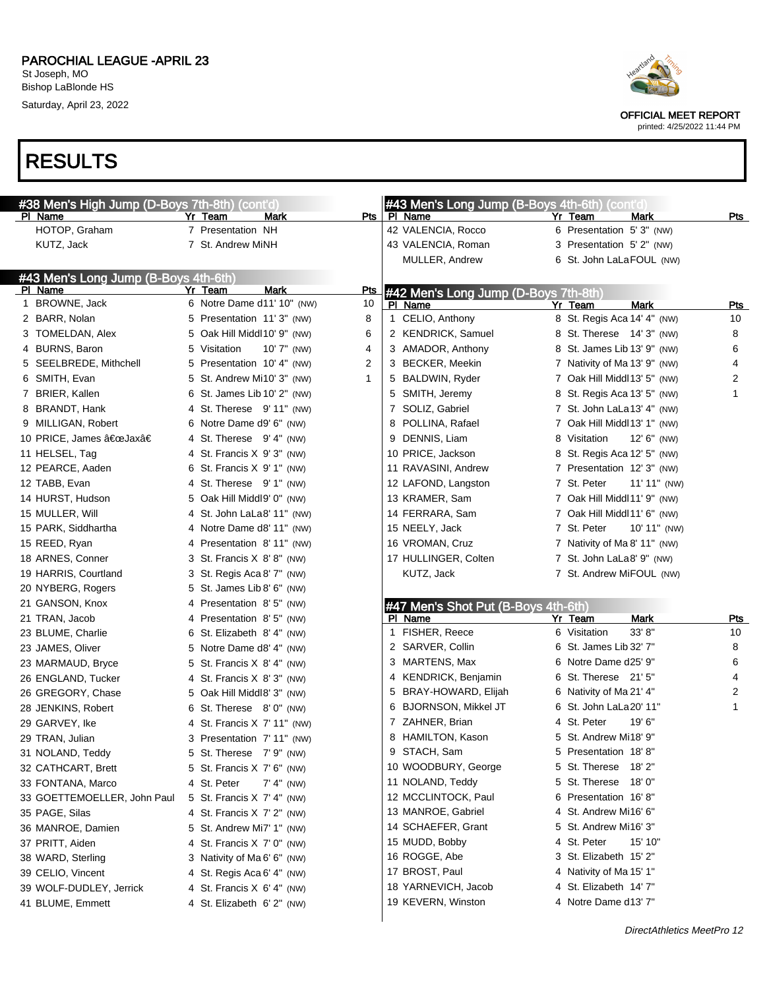#### PAROCHIAL LEAGUE -APRIL 23 St Joseph, MO

Bishop LaBlonde HS Saturday, April 23, 2022





OFFICIAL MEET REPORT

printed: 4/25/2022 11:44 PM

| #38 Men's High Jump (D-Boys 7th-8th) (cont'd) |   |                               |             | #43 Men's Long Jump (B-Boys 4th-6th) (cont'd) |                                |            |
|-----------------------------------------------|---|-------------------------------|-------------|-----------------------------------------------|--------------------------------|------------|
| PI Name                                       |   | Yr Team<br>Mark               | Pts         | PI Name                                       | Yr Team<br>Mark                | $P$ ts     |
| HOTOP, Graham                                 |   | 7 Presentation NH             |             | 42 VALENCIA, Rocco                            | 6 Presentation 5'3" (NW)       |            |
| KUTZ, Jack                                    |   | 7 St. Andrew MiNH             |             | 43 VALENCIA, Roman                            | 3 Presentation 5' 2" (NW)      |            |
|                                               |   |                               |             | MULLER, Andrew                                | 6 St. John LaLaFOUL (NW)       |            |
| #43 Men's Long Jump (B-Boys 4th-6th)          |   |                               |             |                                               |                                |            |
| PI Name                                       |   | Mark<br>Yr Team               | Pts         | #42 Men's Long Jump (D-Boys 7th-8th)          |                                |            |
| 1 BROWNE, Jack                                |   | 6 Notre Dame d11' 10" (NW)    | 10          | PI Name                                       | Mark<br>Yr Team                | <u>Pts</u> |
| 2 BARR, Nolan                                 |   | 5 Presentation 11'3" (NW)     | 8           | 1 CELIO, Anthony                              | 8 St. Regis Aca 14' 4" (NW)    | 10         |
| 3 TOMELDAN, Alex                              |   | 5 Oak Hill Middl10' 9" (NW)   | 6           | 2 KENDRICK, Samuel                            | 8 St. Therese 14' 3" (NW)      | 8          |
| 4 BURNS, Baron                                |   | 5 Visitation<br>$10'7''$ (NW) | 4           | 3 AMADOR, Anthony                             | 8 St. James Lib 13' 9" (NW)    | 6          |
| 5 SEELBREDE, Mithchell                        |   | 5 Presentation 10' 4" (NW)    | 2           | 3 BECKER, Meekin                              | 7 Nativity of Ma 13' 9" (NW)   | 4          |
| 6 SMITH, Evan                                 |   | 5 St. Andrew Mi10' 3" (NW)    | $\mathbf 1$ | 5 BALDWIN, Ryder                              | 7 Oak Hill Middl13' 5" (NW)    | 2          |
| 7 BRIER, Kallen                               | 6 | St. James Lib 10' 2" (NW)     |             | 5 SMITH, Jeremy                               | 8 St. Regis Aca 13' 5" (NW)    | 1          |
| 8 BRANDT, Hank                                |   | 4 St. Therese 9'11" (NW)      |             | 7 SOLIZ, Gabriel                              | 7 St. John LaLa13' 4" (NW)     |            |
| 9 MILLIGAN, Robert                            |   | 6 Notre Dame d9' 6" (NW)      |             | 8 POLLINA, Rafael                             | 7 Oak Hill Middl 13' 1" (NW)   |            |
| 10 PRICE, James "Jaxâ€                        |   | 4 St. Therese 9' 4" (NW)      |             | 9 DENNIS, Liam                                | 8 Visitation<br>$12' 6''$ (NW) |            |
| 11 HELSEL, Tag                                |   | 4 St. Francis X 9' 3" (NW)    |             | 10 PRICE, Jackson                             | 8 St. Regis Aca 12' 5" (NW)    |            |
| 12 PEARCE, Aaden                              |   | 6 St. Francis $X$ 9' 1" (NW)  |             | 11 RAVASINI, Andrew                           | 7 Presentation 12' 3" (NW)     |            |
| 12 TABB, Evan                                 |   | 4 St. Therese 9' 1" (NW)      |             | 12 LAFOND, Langston                           | 7 St. Peter<br>$11' 11''$ (NW) |            |
| 14 HURST, Hudson                              |   | 5 Oak Hill Middl9' 0" (NW)    |             | 13 KRAMER, Sam                                | 7 Oak Hill Middl11' 9" (NW)    |            |
| 15 MULLER, Will                               |   | 4 St. John LaLa8' 11" (NW)    |             | 14 FERRARA, Sam                               | 7 Oak Hill Middl 11' 6" (NW)   |            |
| 15 PARK, Siddhartha                           |   | 4 Notre Dame d8' 11" (NW)     |             | 15 NEELY, Jack                                | 7 St. Peter<br>10' 11" (NW)    |            |
| 15 REED, Ryan                                 |   | 4 Presentation 8'11" (NW)     |             | 16 VROMAN, Cruz                               | 7 Nativity of Ma 8' 11" (NW)   |            |
| 18 ARNES, Conner                              |   | 3 St. Francis X 8'8" (NW)     |             | 17 HULLINGER, Colten                          | 7 St. John LaLa8' 9" (NW)      |            |
| 19 HARRIS, Courtland                          |   | 3 St. Regis Aca 8' 7" (NW)    |             | KUTZ, Jack                                    | 7 St. Andrew MiFOUL (NW)       |            |
| 20 NYBERG, Rogers                             |   | 5 St. James Lib 8' 6" (NW)    |             |                                               |                                |            |
| 21 GANSON, Knox                               | 4 | Presentation 8'5" (NW)        |             | #47 Men's Shot Put (B-Boys 4th-6th)           |                                |            |
| 21 TRAN, Jacob                                | 4 | Presentation 8'5" (NW)        |             | PI Name                                       | Yr Team<br>Mark                | Pts        |
| 23 BLUME, Charlie                             | 6 | St. Elizabeth 8' 4" (NW)      |             | 1 FISHER, Reece                               | 33' 8''<br>6 Visitation        | 10         |
| 23 JAMES, Oliver                              |   | 5 Notre Dame d8' 4" (NW)      |             | 2 SARVER, Collin                              | 6 St. James Lib 32' 7"         | 8          |
| 23 MARMAUD, Bryce                             |   | 5 St. Francis X 8' 4" (NW)    |             | 3 MARTENS, Max                                | 6 Notre Dame d25' 9"           | 6          |
| 26 ENGLAND, Tucker                            |   | 4 St. Francis X 8' 3" (NW)    |             | 4 KENDRICK, Benjamin                          | 6 St. Therese 21' 5"           | 4          |
| 26 GREGORY, Chase                             |   | 5 Oak Hill Middl8' 3" (NW)    |             | 5 BRAY-HOWARD, Elijah                         | 6 Nativity of Ma 21' 4"        | 2          |
| 28 JENKINS, Robert                            |   | 6 St. Therese 8'0" (NW)       |             | 6 BJORNSON, Mikkel JT                         | 6 St. John LaLa 20' 11"        | 1          |
| 29 GARVEY, Ike                                |   | 4 St. Francis X 7' 11" (NW)   |             | 7 ZAHNER, Brian                               | 4 St. Peter<br>19' 6"          |            |
| 29 TRAN, Julian                               |   | 3 Presentation 7' 11" (NW)    |             | 8 HAMILTON, Kason                             | 5 St. Andrew Mi18' 9"          |            |
| 31 NOLAND, Teddy                              |   | 5 St. Therese 7' 9" (NW)      |             | 9 STACH, Sam                                  | 5 Presentation 18'8"           |            |
| 32 CATHCART, Brett                            |   | 5 St. Francis X 7' 6" (NW)    |             | 10 WOODBURY, George                           | 5 St. Therese 18'2"            |            |
| 33 FONTANA, Marco                             |   | 4 St. Peter<br>$7' 4''$ (NW)  |             | 11 NOLAND, Teddy                              | 5 St. Therese 18' 0"           |            |
| 33 GOETTEMOELLER, John Paul                   |   | 5 St. Francis X 7' 4" (NW)    |             | 12 MCCLINTOCK, Paul                           | 6 Presentation 16'8"           |            |
| 35 PAGE, Silas                                |   | 4 St. Francis X 7' 2" (NW)    |             | 13 MANROE, Gabriel                            | 4 St. Andrew Mi16' 6"          |            |
| 36 MANROE, Damien                             |   | 5 St. Andrew Mi7' 1" (NW)     |             | 14 SCHAEFER, Grant                            | 5 St. Andrew Mi16' 3"          |            |
| 37 PRITT, Aiden                               |   | 4 St. Francis X 7' 0" (NW)    |             | 15 MUDD, Bobby                                | 4 St. Peter<br>15' 10"         |            |
| 38 WARD, Sterling                             |   | 3 Nativity of Ma 6' 6" (NW)   |             | 16 ROGGE, Abe                                 | 3 St. Elizabeth 15' 2"         |            |
| 39 CELIO, Vincent                             |   | 4 St. Regis Aca 6' 4" (NW)    |             | 17 BROST, Paul                                | 4 Nativity of Ma 15' 1"        |            |
| 39 WOLF-DUDLEY, Jerrick                       |   | 4 St. Francis X 6' 4" (NW)    |             | 18 YARNEVICH, Jacob                           | 4 St. Elizabeth 14' 7"         |            |
| 41 BLUME, Emmett                              |   | 4 St. Elizabeth 6' 2" (NW)    |             | 19 KEVERN, Winston                            | 4 Notre Dame d13' 7"           |            |
|                                               |   |                               |             |                                               |                                |            |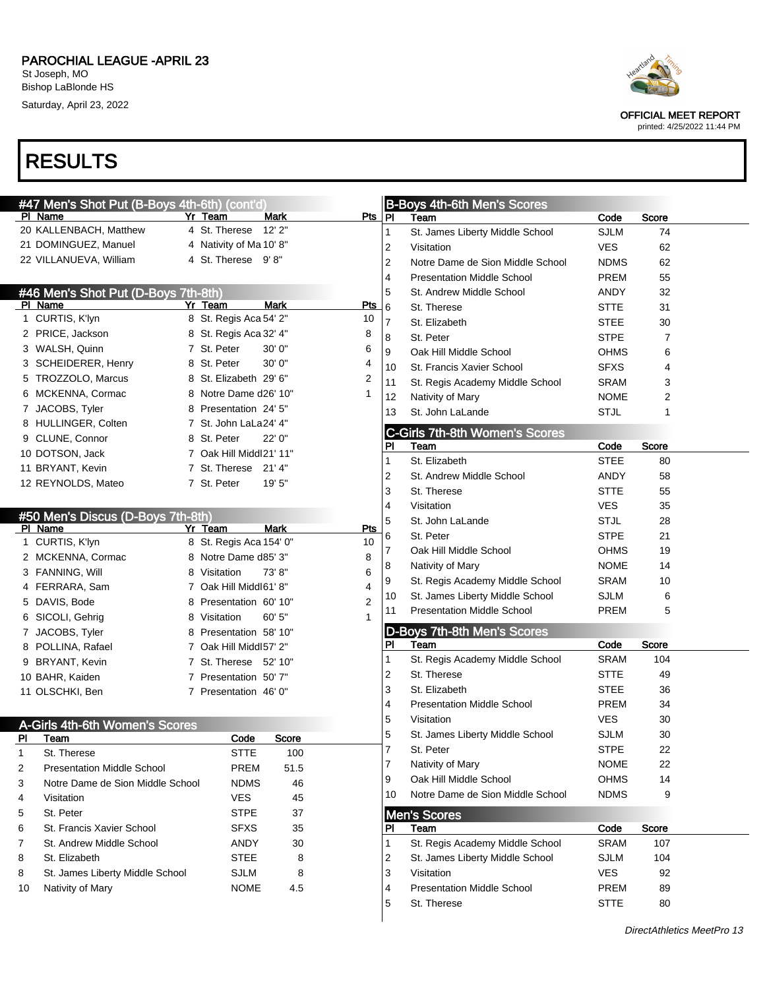|    | #47 Men's Shot Put (B-Boys 4th-6th) (cont'd) |                         |             |            |              | <b>B-Boys 4th-6th Men's Scores</b>            |             |              |  |
|----|----------------------------------------------|-------------------------|-------------|------------|--------------|-----------------------------------------------|-------------|--------------|--|
|    | PI Name                                      | Yr Team                 | Mark        | Pts PI     |              | Team                                          | Code        | <b>Score</b> |  |
|    | 20 KALLENBACH, Matthew                       | 4 St. Therese           | 12'2"       |            | 1            | St. James Liberty Middle School               | <b>SJLM</b> | 74           |  |
|    | 21 DOMINGUEZ, Manuel                         | 4 Nativity of Ma 10' 8" |             |            | 2            | Visitation                                    | <b>VES</b>  | 62           |  |
|    | 22 VILLANUEVA, William                       | 4 St. Therese 9'8"      |             |            | 2            | Notre Dame de Sion Middle School              | <b>NDMS</b> | 62           |  |
|    |                                              |                         |             |            | 4            | <b>Presentation Middle School</b>             | <b>PREM</b> | 55           |  |
|    | #46 Men's Shot Put (D-Boys 7th-8th)          |                         |             |            | 5            | St. Andrew Middle School                      | ANDY        | 32           |  |
|    | PI Name                                      | Yr Team                 | <b>Mark</b> | <b>Pts</b> | 6            | St. Therese                                   | <b>STTE</b> | 31           |  |
|    | 1 CURTIS, K'lyn                              | 8 St. Regis Aca 54' 2"  |             | 10         | 7            | St. Elizabeth                                 | <b>STEE</b> | 30           |  |
|    | 2 PRICE, Jackson                             | 8 St. Regis Aca 32' 4"  |             | 8          | 8            | St. Peter                                     | <b>STPE</b> | 7            |  |
|    | 3 WALSH, Quinn                               | 7 St. Peter             | 30'0''      | 6          | 9            | Oak Hill Middle School                        | <b>OHMS</b> | 6            |  |
|    | 3 SCHEIDERER, Henry                          | 8 St. Peter             | 30' 0"      | 4          | 10           | St. Francis Xavier School                     | <b>SFXS</b> | 4            |  |
|    | 5 TROZZOLO, Marcus                           | 8 St. Elizabeth 29' 6"  |             | 2          | 11           | St. Regis Academy Middle School               | <b>SRAM</b> | 3            |  |
|    | 6 MCKENNA, Cormac                            | 8 Notre Dame d26' 10"   |             |            | 12           | Nativity of Mary                              | <b>NOME</b> | 2            |  |
|    | 7 JACOBS, Tyler                              | 8 Presentation 24' 5"   |             |            | 13           | St. John LaLande                              | <b>STJL</b> | 1            |  |
|    | 8 HULLINGER, Colten                          | 7 St. John LaLa24' 4"   |             |            |              |                                               |             |              |  |
|    | 9 CLUNE, Connor                              | 8 St. Peter             | 22' 0"      |            | PI           | <b>C-Girls 7th-8th Women's Scores</b><br>Team | Code        | Score        |  |
|    | 10 DOTSON, Jack                              | 7 Oak Hill Middl21' 11" |             |            | $\mathbf{1}$ | St. Elizabeth                                 | <b>STEE</b> | 80           |  |
|    | 11 BRYANT, Kevin                             | 7 St. Therese 21' 4"    |             |            | 2            | St. Andrew Middle School                      | ANDY        | 58           |  |
|    | 12 REYNOLDS, Mateo                           | 7 St. Peter             | 19' 5"      |            | 3            | St. Therese                                   | <b>STTE</b> | 55           |  |
|    |                                              |                         |             |            |              | Visitation                                    |             |              |  |
|    | #50 Men's Discus (D-Boys 7th-8th)            |                         |             |            | 4            |                                               | <b>VES</b>  | 35           |  |
|    | PI Name                                      | Yr Team                 | <b>Mark</b> | Pts        | 5            | St. John LaLande                              | <b>STJL</b> | 28           |  |
|    | 1 CURTIS, K'lyn                              | 8 St. Regis Aca 154' 0" |             | 10         | 6            | St. Peter                                     | <b>STPE</b> | 21           |  |
|    | 2 MCKENNA, Cormac                            | 8 Notre Dame d85' 3"    |             | 8          | 7            | Oak Hill Middle School                        | <b>OHMS</b> | 19           |  |
|    | 3 FANNING, Will                              | 8 Visitation            | 73'8"       | 6          | 8            | Nativity of Mary                              | <b>NOME</b> | 14           |  |
|    | 4 FERRARA, Sam                               | 7 Oak Hill Middl61' 8"  |             | 4          | 9            | St. Regis Academy Middle School               | <b>SRAM</b> | 10           |  |
|    | 5 DAVIS, Bode                                | 8 Presentation 60' 10"  |             | 2          | 10           | St. James Liberty Middle School               | <b>SJLM</b> | 6            |  |
|    | 6 SICOLI, Gehrig                             | 8 Visitation            | 60' 5"      |            | 11           | <b>Presentation Middle School</b>             | <b>PREM</b> | 5            |  |
|    | 7 JACOBS, Tyler                              | 8 Presentation 58' 10"  |             |            |              | D-Boys 7th-8th Men's Scores                   |             |              |  |
|    | 8 POLLINA, Rafael                            | 7 Oak Hill Middl57' 2"  |             |            | PI.          | Team                                          | Code        | Score        |  |
|    | 9 BRYANT, Kevin                              | 7 St. Therese 52' 10"   |             |            | 1.           | St. Regis Academy Middle School               | <b>SRAM</b> | 104          |  |
|    | 10 BAHR, Kaiden                              | 7 Presentation 50'7"    |             |            | 2            | St. Therese                                   | <b>STTE</b> | 49           |  |
|    | 11 OLSCHKI, Ben                              | 7 Presentation 46' 0"   |             |            | 3            | St. Elizabeth                                 | <b>STEE</b> | 36           |  |
|    |                                              |                         |             |            | 4            | <b>Presentation Middle School</b>             | <b>PREM</b> | 34           |  |
|    | A-Girls 4th-6th Women's Scores               |                         |             |            | 5            | Visitation                                    | <b>VES</b>  | 30           |  |
| PI | Team                                         | Code                    | Score       |            | 5            | St. James Liberty Middle School               | <b>SJLM</b> | 30           |  |
| 1  | St. Therese                                  | <b>STTE</b>             | 100         |            | 7            | St. Peter                                     | <b>STPE</b> | 22           |  |
| 2  | <b>Presentation Middle School</b>            | <b>PREM</b>             | 51.5        |            | 7            | Nativity of Mary                              | <b>NOME</b> | 22           |  |
| 3  | Notre Dame de Sion Middle School             | <b>NDMS</b>             | 46          |            | 9            | Oak Hill Middle School                        | <b>OHMS</b> | 14           |  |
| 4  | Visitation                                   | <b>VES</b>              | 45          |            | 10           | Notre Dame de Sion Middle School              | <b>NDMS</b> | 9            |  |
| 5  | St. Peter                                    | <b>STPE</b>             | 37          |            |              |                                               |             |              |  |
| 6  | St. Francis Xavier School                    | <b>SFXS</b>             | 35          |            | PI           | <b>Men's Scores</b><br>Team                   | Code        | Score        |  |
| 7  | St. Andrew Middle School                     | ANDY                    |             |            | $\mathbf{1}$ | St. Regis Academy Middle School               | <b>SRAM</b> | 107          |  |
|    |                                              |                         | 30          |            |              |                                               |             |              |  |
| 8  | St. Elizabeth                                | <b>STEE</b>             | 8           |            | 2            | St. James Liberty Middle School               | <b>SJLM</b> | 104          |  |
| 8  | St. James Liberty Middle School              | <b>SJLM</b>             | 8           |            | 3            | Visitation                                    | <b>VES</b>  | 92           |  |
| 10 | Nativity of Mary                             | <b>NOME</b>             | 4.5         |            | 4            | <b>Presentation Middle School</b>             | PREM        | 89           |  |
|    |                                              |                         |             |            | 5            | St. Therese                                   | <b>STTE</b> | 80           |  |



OFFICIAL MEET REPORT printed: 4/25/2022 11:44 PM

DirectAthletics MeetPro 13